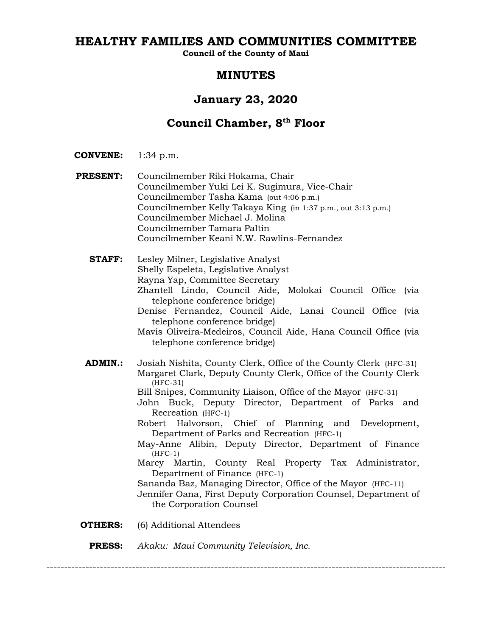# **HEALTHY FAMILIES AND COMMUNITIES COMMITTEE**

**Council of the County of Maui**

# **MINUTES**

# **January 23, 2020**

# **Council Chamber, 8th Floor**

**CONVENE:** 1:34 p.m.

- **PRESENT:** Councilmember Riki Hokama, Chair Councilmember Yuki Lei K. Sugimura, Vice-Chair Councilmember Tasha Kama (out 4:06 p.m.) Councilmember Kelly Takaya King (in 1:37 p.m., out 3:13 p.m.) Councilmember Michael J. Molina Councilmember Tamara Paltin Councilmember Keani N.W. Rawlins-Fernandez
	- **STAFF:** Lesley Milner, Legislative Analyst Shelly Espeleta, Legislative Analyst Rayna Yap, Committee Secretary Zhantell Lindo, Council Aide, Molokai Council Office (via telephone conference bridge) Denise Fernandez, Council Aide, Lanai Council Office (via telephone conference bridge) Mavis Oliveira-Medeiros, Council Aide, Hana Council Office (via telephone conference bridge)
	- **ADMIN.:** Josiah Nishita, County Clerk, Office of the County Clerk (HFC-31) Margaret Clark, Deputy County Clerk, Office of the County Clerk (HFC-31)
		- Bill Snipes, Community Liaison, Office of the Mayor (HFC-31)
		- John Buck, Deputy Director, Department of Parks and Recreation (HFC-1)
		- Robert Halvorson, Chief of Planning and Development, Department of Parks and Recreation (HFC-1)
		- May-Anne Alibin, Deputy Director, Department of Finance (HFC-1)
		- Marcy Martin, County Real Property Tax Administrator, Department of Finance (HFC-1)
		- Sananda Baz, Managing Director, Office of the Mayor (HFC-11)
		- Jennifer Oana, First Deputy Corporation Counsel, Department of the Corporation Counsel
- **OTHERS:** (6) Additional Attendees
	- **PRESS:** *Akaku: Maui Community Television, Inc.*

----------------------------------------------------------------------------------------------------------------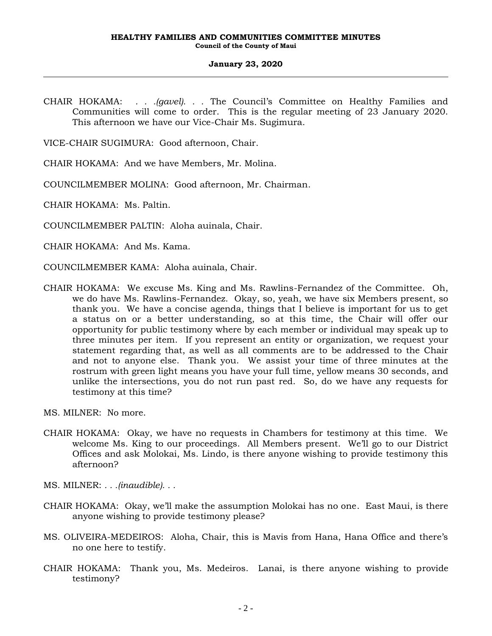CHAIR HOKAMA: *. . .(gavel). . .* The Council's Committee on Healthy Families and Communities will come to order. This is the regular meeting of 23 January 2020. This afternoon we have our Vice-Chair Ms. Sugimura.

VICE-CHAIR SUGIMURA: Good afternoon, Chair.

CHAIR HOKAMA: And we have Members, Mr. Molina.

COUNCILMEMBER MOLINA: Good afternoon, Mr. Chairman.

CHAIR HOKAMA: Ms. Paltin.

COUNCILMEMBER PALTIN: Aloha auinala, Chair.

CHAIR HOKAMA: And Ms. Kama.

- COUNCILMEMBER KAMA: Aloha auinala, Chair.
- CHAIR HOKAMA: We excuse Ms. King and Ms. Rawlins-Fernandez of the Committee. Oh, we do have Ms. Rawlins-Fernandez. Okay, so, yeah, we have six Members present, so thank you. We have a concise agenda, things that I believe is important for us to get a status on or a better understanding, so at this time, the Chair will offer our opportunity for public testimony where by each member or individual may speak up to three minutes per item. If you represent an entity or organization, we request your statement regarding that, as well as all comments are to be addressed to the Chair and not to anyone else. Thank you. We assist your time of three minutes at the rostrum with green light means you have your full time, yellow means 30 seconds, and unlike the intersections, you do not run past red. So, do we have any requests for testimony at this time?

MS. MILNER: No more.

- CHAIR HOKAMA: Okay, we have no requests in Chambers for testimony at this time. We welcome Ms. King to our proceedings. All Members present. We'll go to our District Offices and ask Molokai, Ms. Lindo, is there anyone wishing to provide testimony this afternoon?
- MS. MILNER: *. . .(inaudible). . .*
- CHAIR HOKAMA: Okay, we'll make the assumption Molokai has no one. East Maui, is there anyone wishing to provide testimony please?
- MS. OLIVEIRA-MEDEIROS: Aloha, Chair, this is Mavis from Hana, Hana Office and there's no one here to testify.
- CHAIR HOKAMA: Thank you, Ms. Medeiros. Lanai, is there anyone wishing to provide testimony?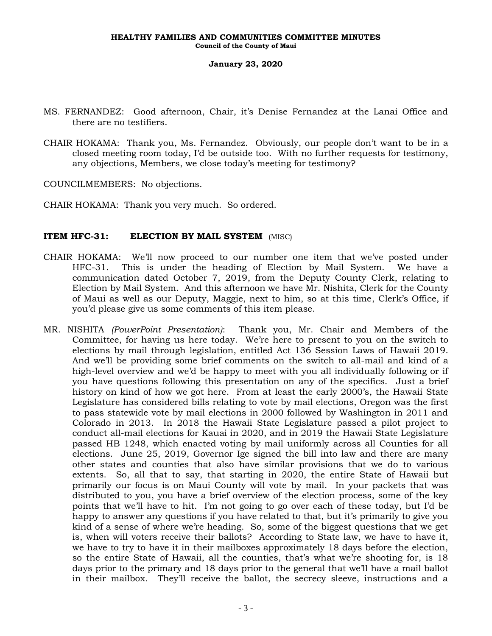- MS. FERNANDEZ: Good afternoon, Chair, it's Denise Fernandez at the Lanai Office and there are no testifiers.
- CHAIR HOKAMA: Thank you, Ms. Fernandez. Obviously, our people don't want to be in a closed meeting room today, I'd be outside too. With no further requests for testimony, any objections, Members, we close today's meeting for testimony?

COUNCILMEMBERS: No objections.

CHAIR HOKAMA: Thank you very much. So ordered.

## **ITEM HFC-31: ELECTION BY MAIL SYSTEM** (MISC)

- CHAIR HOKAMA: We'll now proceed to our number one item that we've posted under HFC-31. This is under the heading of Election by Mail System. We have a communication dated October 7, 2019, from the Deputy County Clerk, relating to Election by Mail System. And this afternoon we have Mr. Nishita, Clerk for the County of Maui as well as our Deputy, Maggie, next to him, so at this time, Clerk's Office, if you'd please give us some comments of this item please.
- MR. NISHITA *(PowerPoint Presentation)*: Thank you, Mr. Chair and Members of the Committee, for having us here today. We're here to present to you on the switch to elections by mail through legislation, entitled Act 136 Session Laws of Hawaii 2019. And we'll be providing some brief comments on the switch to all-mail and kind of a high-level overview and we'd be happy to meet with you all individually following or if you have questions following this presentation on any of the specifics. Just a brief history on kind of how we got here. From at least the early 2000's, the Hawaii State Legislature has considered bills relating to vote by mail elections, Oregon was the first to pass statewide vote by mail elections in 2000 followed by Washington in 2011 and Colorado in 2013. In 2018 the Hawaii State Legislature passed a pilot project to conduct all-mail elections for Kauai in 2020, and in 2019 the Hawaii State Legislature passed HB 1248, which enacted voting by mail uniformly across all Counties for all elections. June 25, 2019, Governor Ige signed the bill into law and there are many other states and counties that also have similar provisions that we do to various extents. So, all that to say, that starting in 2020, the entire State of Hawaii but primarily our focus is on Maui County will vote by mail. In your packets that was distributed to you, you have a brief overview of the election process, some of the key points that we'll have to hit. I'm not going to go over each of these today, but I'd be happy to answer any questions if you have related to that, but it's primarily to give you kind of a sense of where we're heading. So, some of the biggest questions that we get is, when will voters receive their ballots? According to State law, we have to have it, we have to try to have it in their mailboxes approximately 18 days before the election, so the entire State of Hawaii, all the counties, that's what we're shooting for, is 18 days prior to the primary and 18 days prior to the general that we'll have a mail ballot in their mailbox. They'll receive the ballot, the secrecy sleeve, instructions and a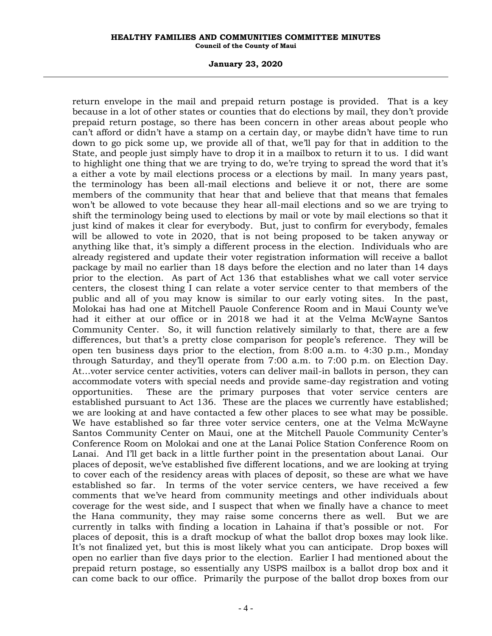#### **January 23, 2020**

return envelope in the mail and prepaid return postage is provided. That is a key because in a lot of other states or counties that do elections by mail, they don't provide prepaid return postage, so there has been concern in other areas about people who can't afford or didn't have a stamp on a certain day, or maybe didn't have time to run down to go pick some up, we provide all of that, we'll pay for that in addition to the State, and people just simply have to drop it in a mailbox to return it to us. I did want to highlight one thing that we are trying to do, we're trying to spread the word that it's a either a vote by mail elections process or a elections by mail. In many years past, the terminology has been all-mail elections and believe it or not, there are some members of the community that hear that and believe that that means that females won't be allowed to vote because they hear all-mail elections and so we are trying to shift the terminology being used to elections by mail or vote by mail elections so that it just kind of makes it clear for everybody. But, just to confirm for everybody, females will be allowed to vote in 2020, that is not being proposed to be taken anyway or anything like that, it's simply a different process in the election. Individuals who are already registered and update their voter registration information will receive a ballot package by mail no earlier than 18 days before the election and no later than 14 days prior to the election. As part of Act 136 that establishes what we call voter service centers, the closest thing I can relate a voter service center to that members of the public and all of you may know is similar to our early voting sites. In the past, Molokai has had one at Mitchell Pauole Conference Room and in Maui County we've had it either at our office or in 2018 we had it at the Velma McWayne Santos Community Center. So, it will function relatively similarly to that, there are a few differences, but that's a pretty close comparison for people's reference. They will be open ten business days prior to the election, from 8:00 a.m. to 4:30 p.m., Monday through Saturday, and they'll operate from 7:00 a.m. to 7:00 p.m. on Election Day. At…voter service center activities, voters can deliver mail-in ballots in person, they can accommodate voters with special needs and provide same-day registration and voting opportunities. These are the primary purposes that voter service centers are established pursuant to Act 136. These are the places we currently have established; we are looking at and have contacted a few other places to see what may be possible. We have established so far three voter service centers, one at the Velma McWayne Santos Community Center on Maui, one at the Mitchell Pauole Community Center's Conference Room on Molokai and one at the Lanai Police Station Conference Room on Lanai. And I'll get back in a little further point in the presentation about Lanai. Our places of deposit, we've established five different locations, and we are looking at trying to cover each of the residency areas with places of deposit, so these are what we have established so far. In terms of the voter service centers, we have received a few comments that we've heard from community meetings and other individuals about coverage for the west side, and I suspect that when we finally have a chance to meet the Hana community, they may raise some concerns there as well. But we are currently in talks with finding a location in Lahaina if that's possible or not. For places of deposit, this is a draft mockup of what the ballot drop boxes may look like. It's not finalized yet, but this is most likely what you can anticipate. Drop boxes will open no earlier than five days prior to the election. Earlier I had mentioned about the prepaid return postage, so essentially any USPS mailbox is a ballot drop box and it can come back to our office. Primarily the purpose of the ballot drop boxes from our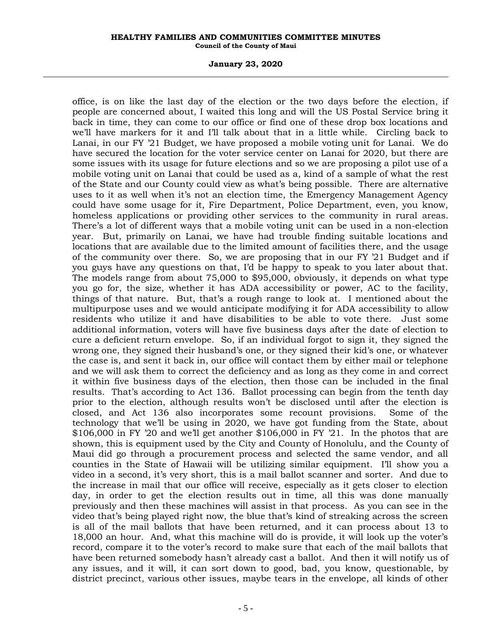#### **January 23, 2020**

office, is on like the last day of the election or the two days before the election, if people are concerned about, I waited this long and will the US Postal Service bring it back in time, they can come to our office or find one of these drop box locations and we'll have markers for it and I'll talk about that in a little while. Circling back to Lanai, in our FY '21 Budget, we have proposed a mobile voting unit for Lanai. We do have secured the location for the voter service center on Lanai for 2020, but there are some issues with its usage for future elections and so we are proposing a pilot use of a mobile voting unit on Lanai that could be used as a, kind of a sample of what the rest of the State and our County could view as what's being possible. There are alternative uses to it as well when it's not an election time, the Emergency Management Agency could have some usage for it, Fire Department, Police Department, even, you know, homeless applications or providing other services to the community in rural areas. There's a lot of different ways that a mobile voting unit can be used in a non-election year. But, primarily on Lanai, we have had trouble finding suitable locations and locations that are available due to the limited amount of facilities there, and the usage of the community over there. So, we are proposing that in our FY '21 Budget and if you guys have any questions on that, I'd be happy to speak to you later about that. The models range from about 75,000 to \$95,000, obviously, it depends on what type you go for, the size, whether it has ADA accessibility or power, AC to the facility, things of that nature. But, that's a rough range to look at. I mentioned about the multipurpose uses and we would anticipate modifying it for ADA accessibility to allow residents who utilize it and have disabilities to be able to vote there. Just some additional information, voters will have five business days after the date of election to cure a deficient return envelope. So, if an individual forgot to sign it, they signed the wrong one, they signed their husband's one, or they signed their kid's one, or whatever the case is, and sent it back in, our office will contact them by either mail or telephone and we will ask them to correct the deficiency and as long as they come in and correct it within five business days of the election, then those can be included in the final results. That's according to Act 136. Ballot processing can begin from the tenth day prior to the election, although results won't be disclosed until after the election is closed, and Act 136 also incorporates some recount provisions. Some of the technology that we'll be using in 2020, we have got funding from the State, about  $$106,000$  in FY '20 and we'll get another  $$106,000$  in FY '21. In the photos that are shown, this is equipment used by the City and County of Honolulu, and the County of Maui did go through a procurement process and selected the same vendor, and all counties in the State of Hawaii will be utilizing similar equipment. I'll show you a video in a second, it's very short, this is a mail ballot scanner and sorter. And due to the increase in mail that our office will receive, especially as it gets closer to election day, in order to get the election results out in time, all this was done manually previously and then these machines will assist in that process. As you can see in the video that's being played right now, the blue that's kind of streaking across the screen is all of the mail ballots that have been returned, and it can process about 13 to 18,000 an hour. And, what this machine will do is provide, it will look up the voter's record, compare it to the voter's record to make sure that each of the mail ballots that have been returned somebody hasn't already cast a ballot. And then it will notify us of any issues, and it will, it can sort down to good, bad, you know, questionable, by district precinct, various other issues, maybe tears in the envelope, all kinds of other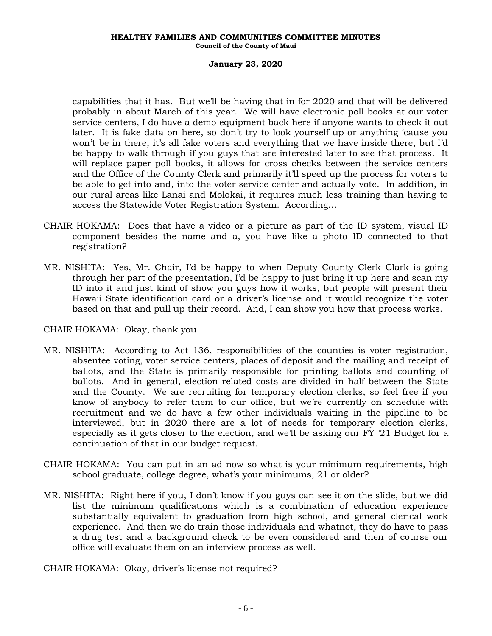### **January 23, 2020**

capabilities that it has. But we'll be having that in for 2020 and that will be delivered probably in about March of this year. We will have electronic poll books at our voter service centers, I do have a demo equipment back here if anyone wants to check it out later. It is fake data on here, so don't try to look yourself up or anything 'cause you won't be in there, it's all fake voters and everything that we have inside there, but I'd be happy to walk through if you guys that are interested later to see that process. It will replace paper poll books, it allows for cross checks between the service centers and the Office of the County Clerk and primarily it'll speed up the process for voters to be able to get into and, into the voter service center and actually vote. In addition, in our rural areas like Lanai and Molokai, it requires much less training than having to access the Statewide Voter Registration System. According…

- CHAIR HOKAMA: Does that have a video or a picture as part of the ID system, visual ID component besides the name and a, you have like a photo ID connected to that registration?
- MR. NISHITA: Yes, Mr. Chair, I'd be happy to when Deputy County Clerk Clark is going through her part of the presentation, I'd be happy to just bring it up here and scan my ID into it and just kind of show you guys how it works, but people will present their Hawaii State identification card or a driver's license and it would recognize the voter based on that and pull up their record. And, I can show you how that process works.

CHAIR HOKAMA: Okay, thank you.

- MR. NISHITA: According to Act 136, responsibilities of the counties is voter registration, absentee voting, voter service centers, places of deposit and the mailing and receipt of ballots, and the State is primarily responsible for printing ballots and counting of ballots. And in general, election related costs are divided in half between the State and the County. We are recruiting for temporary election clerks, so feel free if you know of anybody to refer them to our office, but we're currently on schedule with recruitment and we do have a few other individuals waiting in the pipeline to be interviewed, but in 2020 there are a lot of needs for temporary election clerks, especially as it gets closer to the election, and we'll be asking our FY '21 Budget for a continuation of that in our budget request.
- CHAIR HOKAMA: You can put in an ad now so what is your minimum requirements, high school graduate, college degree, what's your minimums, 21 or older?
- MR. NISHITA: Right here if you, I don't know if you guys can see it on the slide, but we did list the minimum qualifications which is a combination of education experience substantially equivalent to graduation from high school, and general clerical work experience. And then we do train those individuals and whatnot, they do have to pass a drug test and a background check to be even considered and then of course our office will evaluate them on an interview process as well.

CHAIR HOKAMA: Okay, driver's license not required?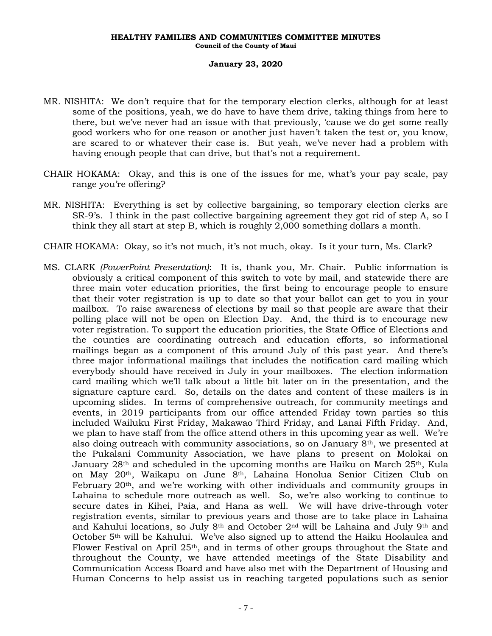- MR. NISHITA: We don't require that for the temporary election clerks, although for at least some of the positions, yeah, we do have to have them drive, taking things from here to there, but we've never had an issue with that previously, 'cause we do get some really good workers who for one reason or another just haven't taken the test or, you know, are scared to or whatever their case is. But yeah, we've never had a problem with having enough people that can drive, but that's not a requirement.
- CHAIR HOKAMA: Okay, and this is one of the issues for me, what's your pay scale, pay range you're offering?
- MR. NISHITA: Everything is set by collective bargaining, so temporary election clerks are SR-9's. I think in the past collective bargaining agreement they got rid of step A, so I think they all start at step B, which is roughly 2,000 something dollars a month.
- CHAIR HOKAMA: Okay, so it's not much, it's not much, okay. Is it your turn, Ms. Clark?
- MS. CLARK *(PowerPoint Presentation)*: It is, thank you, Mr. Chair. Public information is obviously a critical component of this switch to vote by mail, and statewide there are three main voter education priorities, the first being to encourage people to ensure that their voter registration is up to date so that your ballot can get to you in your mailbox. To raise awareness of elections by mail so that people are aware that their polling place will not be open on Election Day. And, the third is to encourage new voter registration. To support the education priorities, the State Office of Elections and the counties are coordinating outreach and education efforts, so informational mailings began as a component of this around July of this past year. And there's three major informational mailings that includes the notification card mailing which everybody should have received in July in your mailboxes. The election information card mailing which we'll talk about a little bit later on in the presentation, and the signature capture card. So, details on the dates and content of these mailers is in upcoming slides. In terms of comprehensive outreach, for community meetings and events, in 2019 participants from our office attended Friday town parties so this included Wailuku First Friday, Makawao Third Friday, and Lanai Fifth Friday. And, we plan to have staff from the office attend others in this upcoming year as well. We're also doing outreach with community associations, so on January  $8<sup>th</sup>$ , we presented at the Pukalani Community Association, we have plans to present on Molokai on January  $28<sup>th</sup>$  and scheduled in the upcoming months are Haiku on March  $25<sup>th</sup>$ , Kula on May 20th, Waikapu on June 8th, Lahaina Honolua Senior Citizen Club on February  $20<sup>th</sup>$ , and we're working with other individuals and community groups in Lahaina to schedule more outreach as well. So, we're also working to continue to secure dates in Kihei, Paia, and Hana as well. We will have drive-through voter registration events, similar to previous years and those are to take place in Lahaina and Kahului locations, so July 8<sup>th</sup> and October  $2<sup>nd</sup>$  will be Lahaina and July 9<sup>th</sup> and October 5th will be Kahului. We've also signed up to attend the Haiku Hoolaulea and Flower Festival on April 25th, and in terms of other groups throughout the State and throughout the County, we have attended meetings of the State Disability and Communication Access Board and have also met with the Department of Housing and Human Concerns to help assist us in reaching targeted populations such as senior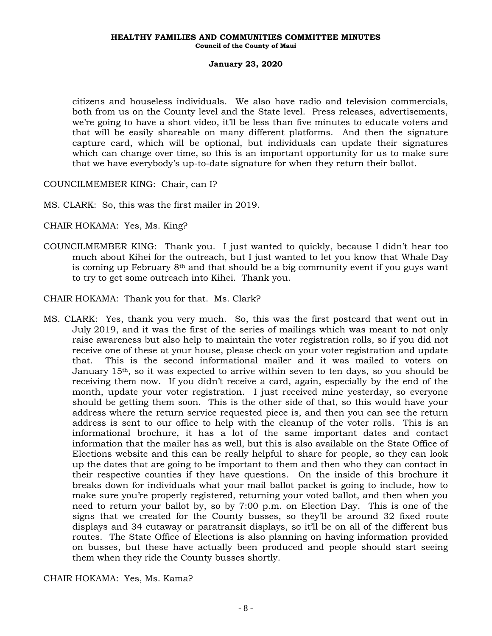citizens and houseless individuals. We also have radio and television commercials, both from us on the County level and the State level. Press releases, advertisements, we're going to have a short video, it'll be less than five minutes to educate voters and that will be easily shareable on many different platforms. And then the signature capture card, which will be optional, but individuals can update their signatures which can change over time, so this is an important opportunity for us to make sure that we have everybody's up-to-date signature for when they return their ballot.

COUNCILMEMBER KING: Chair, can I?

MS. CLARK: So, this was the first mailer in 2019.

CHAIR HOKAMA: Yes, Ms. King?

COUNCILMEMBER KING: Thank you. I just wanted to quickly, because I didn't hear too much about Kihei for the outreach, but I just wanted to let you know that Whale Day is coming up February  $8<sup>th</sup>$  and that should be a big community event if you guys want to try to get some outreach into Kihei. Thank you.

CHAIR HOKAMA: Thank you for that. Ms. Clark?

MS. CLARK: Yes, thank you very much. So, this was the first postcard that went out in July 2019, and it was the first of the series of mailings which was meant to not only raise awareness but also help to maintain the voter registration rolls, so if you did not receive one of these at your house, please check on your voter registration and update that. This is the second informational mailer and it was mailed to voters on January 15th, so it was expected to arrive within seven to ten days, so you should be receiving them now. If you didn't receive a card, again, especially by the end of the month, update your voter registration. I just received mine yesterday, so everyone should be getting them soon. This is the other side of that, so this would have your address where the return service requested piece is, and then you can see the return address is sent to our office to help with the cleanup of the voter rolls. This is an informational brochure, it has a lot of the same important dates and contact information that the mailer has as well, but this is also available on the State Office of Elections website and this can be really helpful to share for people, so they can look up the dates that are going to be important to them and then who they can contact in their respective counties if they have questions. On the inside of this brochure it breaks down for individuals what your mail ballot packet is going to include, how to make sure you're properly registered, returning your voted ballot, and then when you need to return your ballot by, so by 7:00 p.m. on Election Day. This is one of the signs that we created for the County busses, so they'll be around 32 fixed route displays and 34 cutaway or paratransit displays, so it'll be on all of the different bus routes. The State Office of Elections is also planning on having information provided on busses, but these have actually been produced and people should start seeing them when they ride the County busses shortly.

CHAIR HOKAMA: Yes, Ms. Kama?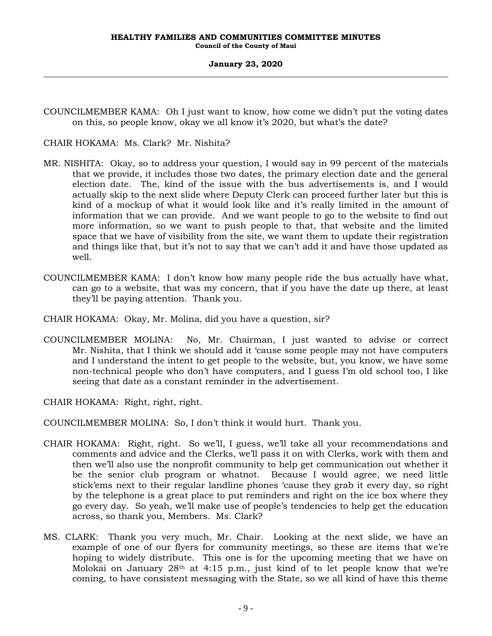COUNCILMEMBER KAMA: Oh I just want to know, how come we didn't put the voting dates on this, so people know, okay we all know it's 2020, but what's the date?

## CHAIR HOKAMA: Ms. Clark? Mr. Nishita?

- MR. NISHITA: Okay, so to address your question, I would say in 99 percent of the materials that we provide, it includes those two dates, the primary election date and the general election date. The, kind of the issue with the bus advertisements is, and I would actually skip to the next slide where Deputy Clerk can proceed further later but this is kind of a mockup of what it would look like and it's really limited in the amount of information that we can provide. And we want people to go to the website to find out more information, so we want to push people to that, that website and the limited space that we have of visibility from the site, we want them to update their registration and things like that, but it's not to say that we can't add it and have those updated as well.
- COUNCILMEMBER KAMA: I don't know how many people ride the bus actually have what, can go to a website, that was my concern, that if you have the date up there, at least they'll be paying attention. Thank you.

CHAIR HOKAMA: Okay, Mr. Molina, did you have a question, sir?

COUNCILMEMBER MOLINA: No, Mr. Chairman, I just wanted to advise or correct Mr. Nishita, that I think we should add it 'cause some people may not have computers and I understand the intent to get people to the website, but, you know, we have some non-technical people who don't have computers, and I guess I'm old school too, I like seeing that date as a constant reminder in the advertisement.

CHAIR HOKAMA: Right, right, right.

COUNCILMEMBER MOLINA: So, I don't think it would hurt. Thank you.

- CHAIR HOKAMA: Right, right. So we'll, I guess, we'll take all your recommendations and comments and advice and the Clerks, we'll pass it on with Clerks, work with them and then we'll also use the nonprofit community to help get communication out whether it be the senior club program or whatnot. Because I would agree, we need little stick'ems next to their regular landline phones 'cause they grab it every day, so right by the telephone is a great place to put reminders and right on the ice box where they go every day. So yeah, we'll make use of people's tendencies to help get the education across, so thank you, Members. Ms. Clark?
- MS. CLARK: Thank you very much, Mr. Chair. Looking at the next slide, we have an example of one of our flyers for community meetings, so these are items that we're hoping to widely distribute. This one is for the upcoming meeting that we have on Molokai on January  $28<sup>th</sup>$  at 4:15 p.m., just kind of to let people know that we're coming, to have consistent messaging with the State, so we all kind of have this theme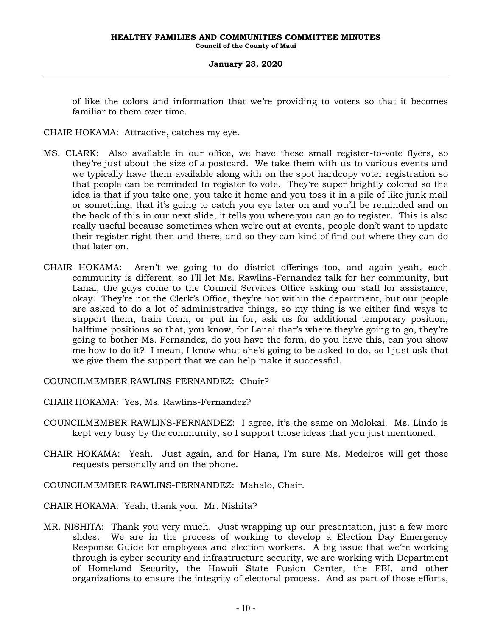of like the colors and information that we're providing to voters so that it becomes familiar to them over time.

CHAIR HOKAMA: Attractive, catches my eye.

- MS. CLARK: Also available in our office, we have these small register-to-vote flyers, so they're just about the size of a postcard. We take them with us to various events and we typically have them available along with on the spot hardcopy voter registration so that people can be reminded to register to vote. They're super brightly colored so the idea is that if you take one, you take it home and you toss it in a pile of like junk mail or something, that it's going to catch you eye later on and you'll be reminded and on the back of this in our next slide, it tells you where you can go to register. This is also really useful because sometimes when we're out at events, people don't want to update their register right then and there, and so they can kind of find out where they can do that later on.
- CHAIR HOKAMA: Aren't we going to do district offerings too, and again yeah, each community is different, so I'll let Ms. Rawlins-Fernandez talk for her community, but Lanai, the guys come to the Council Services Office asking our staff for assistance, okay. They're not the Clerk's Office, they're not within the department, but our people are asked to do a lot of administrative things, so my thing is we either find ways to support them, train them, or put in for, ask us for additional temporary position, halftime positions so that, you know, for Lanai that's where they're going to go, they're going to bother Ms. Fernandez, do you have the form, do you have this, can you show me how to do it? I mean, I know what she's going to be asked to do, so I just ask that we give them the support that we can help make it successful.

COUNCILMEMBER RAWLINS-FERNANDEZ: Chair?

CHAIR HOKAMA: Yes, Ms. Rawlins-Fernandez?

- COUNCILMEMBER RAWLINS-FERNANDEZ: I agree, it's the same on Molokai. Ms. Lindo is kept very busy by the community, so I support those ideas that you just mentioned.
- CHAIR HOKAMA: Yeah. Just again, and for Hana, I'm sure Ms. Medeiros will get those requests personally and on the phone.
- COUNCILMEMBER RAWLINS-FERNANDEZ: Mahalo, Chair.

CHAIR HOKAMA: Yeah, thank you. Mr. Nishita?

MR. NISHITA: Thank you very much. Just wrapping up our presentation, just a few more slides. We are in the process of working to develop a Election Day Emergency Response Guide for employees and election workers. A big issue that we're working through is cyber security and infrastructure security, we are working with Department of Homeland Security, the Hawaii State Fusion Center, the FBI, and other organizations to ensure the integrity of electoral process. And as part of those efforts,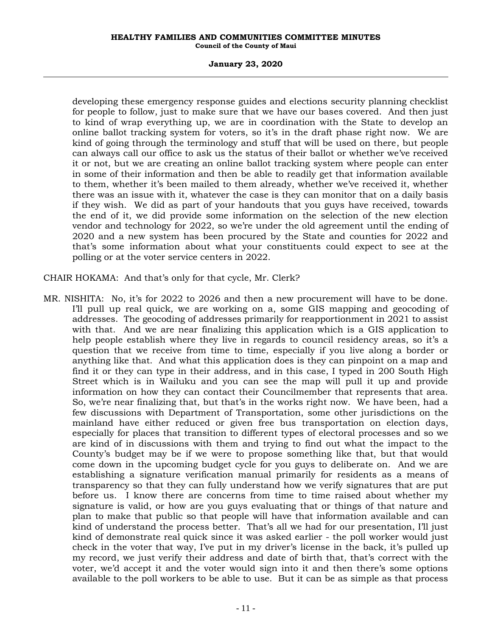### **January 23, 2020**

developing these emergency response guides and elections security planning checklist for people to follow, just to make sure that we have our bases covered. And then just to kind of wrap everything up, we are in coordination with the State to develop an online ballot tracking system for voters, so it's in the draft phase right now. We are kind of going through the terminology and stuff that will be used on there, but people can always call our office to ask us the status of their ballot or whether we've received it or not, but we are creating an online ballot tracking system where people can enter in some of their information and then be able to readily get that information available to them, whether it's been mailed to them already, whether we've received it, whether there was an issue with it, whatever the case is they can monitor that on a daily basis if they wish. We did as part of your handouts that you guys have received, towards the end of it, we did provide some information on the selection of the new election vendor and technology for 2022, so we're under the old agreement until the ending of 2020 and a new system has been procured by the State and counties for 2022 and that's some information about what your constituents could expect to see at the polling or at the voter service centers in 2022.

CHAIR HOKAMA: And that's only for that cycle, Mr. Clerk?

MR. NISHITA: No, it's for 2022 to 2026 and then a new procurement will have to be done. I'll pull up real quick, we are working on a, some GIS mapping and geocoding of addresses. The geocoding of addresses primarily for reapportionment in 2021 to assist with that. And we are near finalizing this application which is a GIS application to help people establish where they live in regards to council residency areas, so it's a question that we receive from time to time, especially if you live along a border or anything like that. And what this application does is they can pinpoint on a map and find it or they can type in their address, and in this case, I typed in 200 South High Street which is in Wailuku and you can see the map will pull it up and provide information on how they can contact their Councilmember that represents that area. So, we're near finalizing that, but that's in the works right now. We have been, had a few discussions with Department of Transportation, some other jurisdictions on the mainland have either reduced or given free bus transportation on election days, especially for places that transition to different types of electoral processes and so we are kind of in discussions with them and trying to find out what the impact to the County's budget may be if we were to propose something like that, but that would come down in the upcoming budget cycle for you guys to deliberate on. And we are establishing a signature verification manual primarily for residents as a means of transparency so that they can fully understand how we verify signatures that are put before us. I know there are concerns from time to time raised about whether my signature is valid, or how are you guys evaluating that or things of that nature and plan to make that public so that people will have that information available and can kind of understand the process better. That's all we had for our presentation, I'll just kind of demonstrate real quick since it was asked earlier - the poll worker would just check in the voter that way, I've put in my driver's license in the back, it's pulled up my record, we just verify their address and date of birth that, that's correct with the voter, we'd accept it and the voter would sign into it and then there's some options available to the poll workers to be able to use. But it can be as simple as that process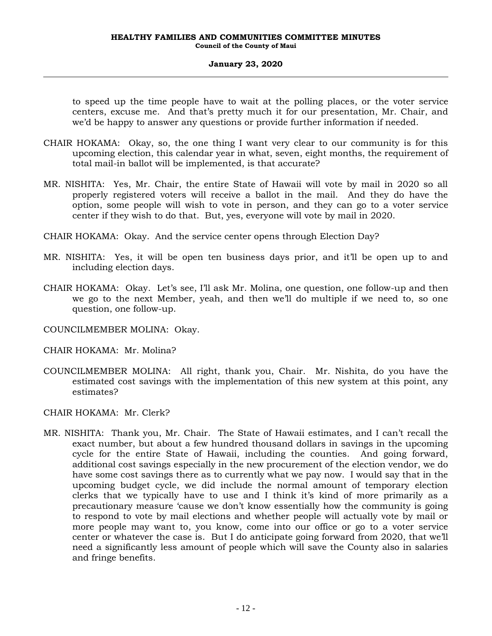to speed up the time people have to wait at the polling places, or the voter service centers, excuse me. And that's pretty much it for our presentation, Mr. Chair, and we'd be happy to answer any questions or provide further information if needed.

- CHAIR HOKAMA: Okay, so, the one thing I want very clear to our community is for this upcoming election, this calendar year in what, seven, eight months, the requirement of total mail-in ballot will be implemented, is that accurate?
- MR. NISHITA: Yes, Mr. Chair, the entire State of Hawaii will vote by mail in 2020 so all properly registered voters will receive a ballot in the mail. And they do have the option, some people will wish to vote in person, and they can go to a voter service center if they wish to do that. But, yes, everyone will vote by mail in 2020.
- CHAIR HOKAMA: Okay. And the service center opens through Election Day?
- MR. NISHITA: Yes, it will be open ten business days prior, and it'll be open up to and including election days.
- CHAIR HOKAMA: Okay. Let's see, I'll ask Mr. Molina, one question, one follow-up and then we go to the next Member, yeah, and then we'll do multiple if we need to, so one question, one follow-up.
- COUNCILMEMBER MOLINA: Okay.
- CHAIR HOKAMA: Mr. Molina?
- COUNCILMEMBER MOLINA: All right, thank you, Chair. Mr. Nishita, do you have the estimated cost savings with the implementation of this new system at this point, any estimates?
- CHAIR HOKAMA: Mr. Clerk?
- MR. NISHITA: Thank you, Mr. Chair. The State of Hawaii estimates, and I can't recall the exact number, but about a few hundred thousand dollars in savings in the upcoming cycle for the entire State of Hawaii, including the counties. And going forward, additional cost savings especially in the new procurement of the election vendor, we do have some cost savings there as to currently what we pay now. I would say that in the upcoming budget cycle, we did include the normal amount of temporary election clerks that we typically have to use and I think it's kind of more primarily as a precautionary measure 'cause we don't know essentially how the community is going to respond to vote by mail elections and whether people will actually vote by mail or more people may want to, you know, come into our office or go to a voter service center or whatever the case is. But I do anticipate going forward from 2020, that we'll need a significantly less amount of people which will save the County also in salaries and fringe benefits.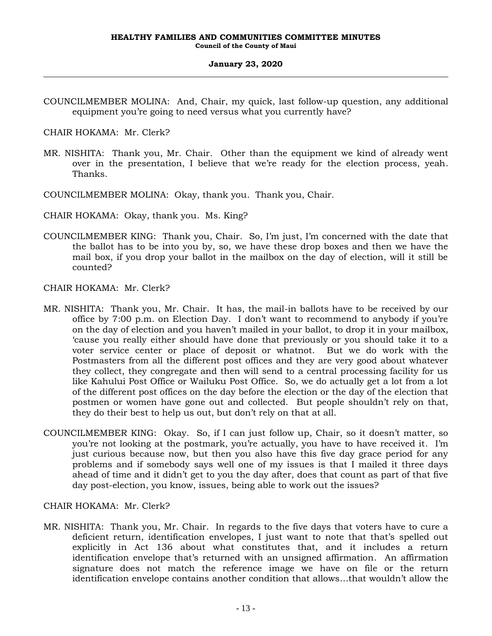COUNCILMEMBER MOLINA: And, Chair, my quick, last follow-up question, any additional equipment you're going to need versus what you currently have?

CHAIR HOKAMA: Mr. Clerk?

- MR. NISHITA: Thank you, Mr. Chair. Other than the equipment we kind of already went over in the presentation, I believe that we're ready for the election process, yeah. Thanks.
- COUNCILMEMBER MOLINA: Okay, thank you. Thank you, Chair.
- CHAIR HOKAMA: Okay, thank you. Ms. King?
- COUNCILMEMBER KING: Thank you, Chair. So, I'm just, I'm concerned with the date that the ballot has to be into you by, so, we have these drop boxes and then we have the mail box, if you drop your ballot in the mailbox on the day of election, will it still be counted?

CHAIR HOKAMA: Mr. Clerk?

- MR. NISHITA: Thank you, Mr. Chair. It has, the mail-in ballots have to be received by our office by 7:00 p.m. on Election Day. I don't want to recommend to anybody if you're on the day of election and you haven't mailed in your ballot, to drop it in your mailbox, 'cause you really either should have done that previously or you should take it to a voter service center or place of deposit or whatnot. But we do work with the Postmasters from all the different post offices and they are very good about whatever they collect, they congregate and then will send to a central processing facility for us like Kahului Post Office or Wailuku Post Office. So, we do actually get a lot from a lot of the different post offices on the day before the election or the day of the election that postmen or women have gone out and collected. But people shouldn't rely on that, they do their best to help us out, but don't rely on that at all.
- COUNCILMEMBER KING: Okay. So, if I can just follow up, Chair, so it doesn't matter, so you're not looking at the postmark, you're actually, you have to have received it. I'm just curious because now, but then you also have this five day grace period for any problems and if somebody says well one of my issues is that I mailed it three days ahead of time and it didn't get to you the day after, does that count as part of that five day post-election, you know, issues, being able to work out the issues?

CHAIR HOKAMA: Mr. Clerk?

MR. NISHITA: Thank you, Mr. Chair. In regards to the five days that voters have to cure a deficient return, identification envelopes, I just want to note that that's spelled out explicitly in Act 136 about what constitutes that, and it includes a return identification envelope that's returned with an unsigned affirmation. An affirmation signature does not match the reference image we have on file or the return identification envelope contains another condition that allows…that wouldn't allow the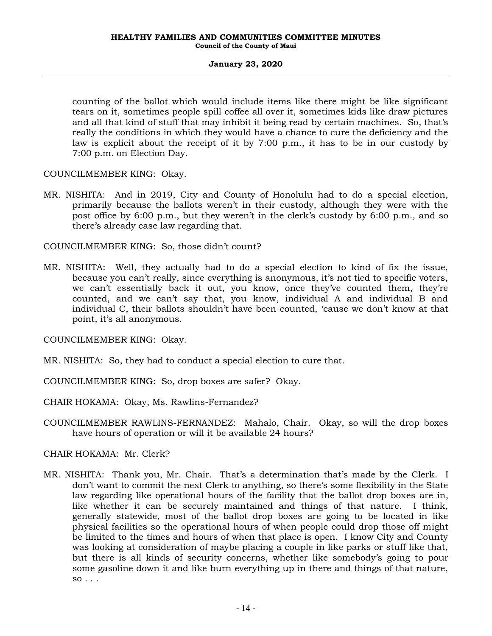counting of the ballot which would include items like there might be like significant tears on it, sometimes people spill coffee all over it, sometimes kids like draw pictures and all that kind of stuff that may inhibit it being read by certain machines. So, that's really the conditions in which they would have a chance to cure the deficiency and the law is explicit about the receipt of it by 7:00 p.m., it has to be in our custody by 7:00 p.m. on Election Day.

### COUNCILMEMBER KING: Okay.

MR. NISHITA: And in 2019, City and County of Honolulu had to do a special election, primarily because the ballots weren't in their custody, although they were with the post office by 6:00 p.m., but they weren't in the clerk's custody by 6:00 p.m., and so there's already case law regarding that.

COUNCILMEMBER KING: So, those didn't count?

MR. NISHITA: Well, they actually had to do a special election to kind of fix the issue, because you can't really, since everything is anonymous, it's not tied to specific voters, we can't essentially back it out, you know, once they've counted them, they're counted, and we can't say that, you know, individual A and individual B and individual C, their ballots shouldn't have been counted, 'cause we don't know at that point, it's all anonymous.

COUNCILMEMBER KING: Okay.

MR. NISHITA: So, they had to conduct a special election to cure that.

COUNCILMEMBER KING: So, drop boxes are safer? Okay.

CHAIR HOKAMA: Okay, Ms. Rawlins-Fernandez?

COUNCILMEMBER RAWLINS-FERNANDEZ: Mahalo, Chair. Okay, so will the drop boxes have hours of operation or will it be available 24 hours?

CHAIR HOKAMA: Mr. Clerk?

MR. NISHITA: Thank you, Mr. Chair. That's a determination that's made by the Clerk. I don't want to commit the next Clerk to anything, so there's some flexibility in the State law regarding like operational hours of the facility that the ballot drop boxes are in, like whether it can be securely maintained and things of that nature. I think, generally statewide, most of the ballot drop boxes are going to be located in like physical facilities so the operational hours of when people could drop those off might be limited to the times and hours of when that place is open. I know City and County was looking at consideration of maybe placing a couple in like parks or stuff like that, but there is all kinds of security concerns, whether like somebody's going to pour some gasoline down it and like burn everything up in there and things of that nature,  $so \ldots$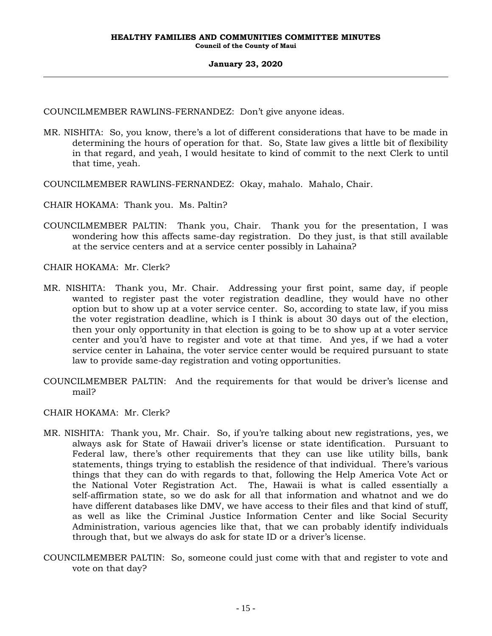COUNCILMEMBER RAWLINS-FERNANDEZ: Don't give anyone ideas.

- MR. NISHITA: So, you know, there's a lot of different considerations that have to be made in determining the hours of operation for that. So, State law gives a little bit of flexibility in that regard, and yeah, I would hesitate to kind of commit to the next Clerk to until that time, yeah.
- COUNCILMEMBER RAWLINS-FERNANDEZ: Okay, mahalo. Mahalo, Chair.

CHAIR HOKAMA: Thank you. Ms. Paltin?

COUNCILMEMBER PALTIN: Thank you, Chair. Thank you for the presentation, I was wondering how this affects same-day registration. Do they just, is that still available at the service centers and at a service center possibly in Lahaina?

CHAIR HOKAMA: Mr. Clerk?

- MR. NISHITA: Thank you, Mr. Chair. Addressing your first point, same day, if people wanted to register past the voter registration deadline, they would have no other option but to show up at a voter service center. So, according to state law, if you miss the voter registration deadline, which is I think is about 30 days out of the election, then your only opportunity in that election is going to be to show up at a voter service center and you'd have to register and vote at that time. And yes, if we had a voter service center in Lahaina, the voter service center would be required pursuant to state law to provide same-day registration and voting opportunities.
- COUNCILMEMBER PALTIN: And the requirements for that would be driver's license and mail?

CHAIR HOKAMA: Mr. Clerk?

- MR. NISHITA: Thank you, Mr. Chair. So, if you're talking about new registrations, yes, we always ask for State of Hawaii driver's license or state identification. Pursuant to Federal law, there's other requirements that they can use like utility bills, bank statements, things trying to establish the residence of that individual. There's various things that they can do with regards to that, following the Help America Vote Act or the National Voter Registration Act. The, Hawaii is what is called essentially a self-affirmation state, so we do ask for all that information and whatnot and we do have different databases like DMV, we have access to their files and that kind of stuff, as well as like the Criminal Justice Information Center and like Social Security Administration, various agencies like that, that we can probably identify individuals through that, but we always do ask for state ID or a driver's license.
- COUNCILMEMBER PALTIN: So, someone could just come with that and register to vote and vote on that day?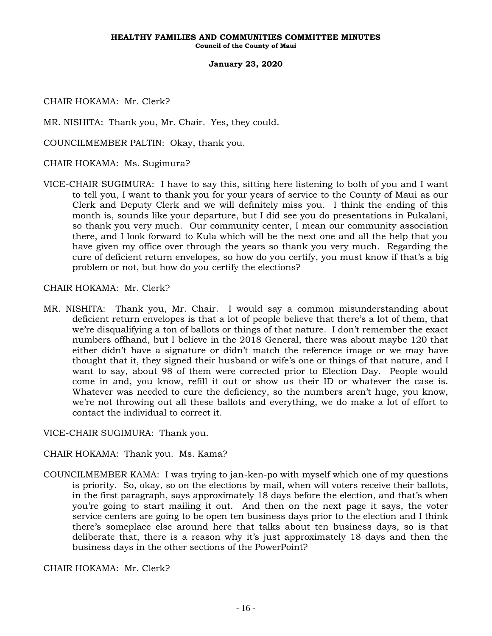CHAIR HOKAMA: Mr. Clerk?

MR. NISHITA: Thank you, Mr. Chair. Yes, they could.

COUNCILMEMBER PALTIN: Okay, thank you.

CHAIR HOKAMA: Ms. Sugimura?

VICE-CHAIR SUGIMURA: I have to say this, sitting here listening to both of you and I want to tell you, I want to thank you for your years of service to the County of Maui as our Clerk and Deputy Clerk and we will definitely miss you. I think the ending of this month is, sounds like your departure, but I did see you do presentations in Pukalani, so thank you very much. Our community center, I mean our community association there, and I look forward to Kula which will be the next one and all the help that you have given my office over through the years so thank you very much. Regarding the cure of deficient return envelopes, so how do you certify, you must know if that's a big problem or not, but how do you certify the elections?

CHAIR HOKAMA: Mr. Clerk?

MR. NISHITA: Thank you, Mr. Chair. I would say a common misunderstanding about deficient return envelopes is that a lot of people believe that there's a lot of them, that we're disqualifying a ton of ballots or things of that nature. I don't remember the exact numbers offhand, but I believe in the 2018 General, there was about maybe 120 that either didn't have a signature or didn't match the reference image or we may have thought that it, they signed their husband or wife's one or things of that nature, and I want to say, about 98 of them were corrected prior to Election Day. People would come in and, you know, refill it out or show us their ID or whatever the case is. Whatever was needed to cure the deficiency, so the numbers aren't huge, you know, we're not throwing out all these ballots and everything, we do make a lot of effort to contact the individual to correct it.

VICE-CHAIR SUGIMURA: Thank you.

CHAIR HOKAMA: Thank you. Ms. Kama?

COUNCILMEMBER KAMA: I was trying to jan-ken-po with myself which one of my questions is priority. So, okay, so on the elections by mail, when will voters receive their ballots, in the first paragraph, says approximately 18 days before the election, and that's when you're going to start mailing it out. And then on the next page it says, the voter service centers are going to be open ten business days prior to the election and I think there's someplace else around here that talks about ten business days, so is that deliberate that, there is a reason why it's just approximately 18 days and then the business days in the other sections of the PowerPoint?

CHAIR HOKAMA: Mr. Clerk?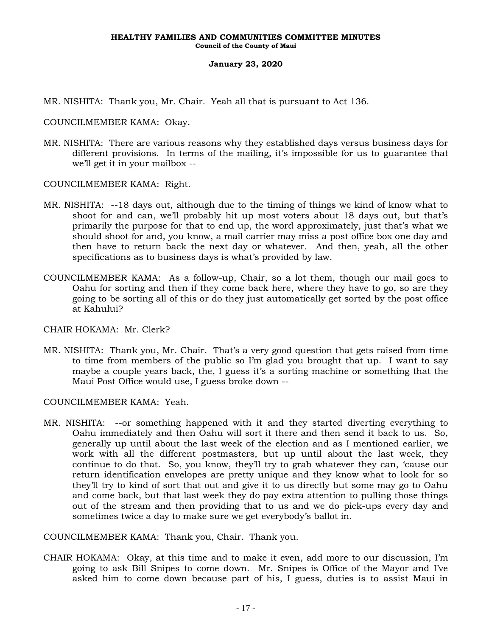MR. NISHITA: Thank you, Mr. Chair. Yeah all that is pursuant to Act 136.

COUNCILMEMBER KAMA: Okay.

MR. NISHITA: There are various reasons why they established days versus business days for different provisions. In terms of the mailing, it's impossible for us to guarantee that we'll get it in your mailbox --

COUNCILMEMBER KAMA: Right.

- MR. NISHITA: --18 days out, although due to the timing of things we kind of know what to shoot for and can, we'll probably hit up most voters about 18 days out, but that's primarily the purpose for that to end up, the word approximately, just that's what we should shoot for and, you know, a mail carrier may miss a post office box one day and then have to return back the next day or whatever. And then, yeah, all the other specifications as to business days is what's provided by law.
- COUNCILMEMBER KAMA: As a follow-up, Chair, so a lot them, though our mail goes to Oahu for sorting and then if they come back here, where they have to go, so are they going to be sorting all of this or do they just automatically get sorted by the post office at Kahului?

CHAIR HOKAMA: Mr. Clerk?

MR. NISHITA: Thank you, Mr. Chair. That's a very good question that gets raised from time to time from members of the public so I'm glad you brought that up. I want to say maybe a couple years back, the, I guess it's a sorting machine or something that the Maui Post Office would use, I guess broke down --

COUNCILMEMBER KAMA: Yeah.

MR. NISHITA: --or something happened with it and they started diverting everything to Oahu immediately and then Oahu will sort it there and then send it back to us. So, generally up until about the last week of the election and as I mentioned earlier, we work with all the different postmasters, but up until about the last week, they continue to do that. So, you know, they'll try to grab whatever they can, 'cause our return identification envelopes are pretty unique and they know what to look for so they'll try to kind of sort that out and give it to us directly but some may go to Oahu and come back, but that last week they do pay extra attention to pulling those things out of the stream and then providing that to us and we do pick-ups every day and sometimes twice a day to make sure we get everybody's ballot in.

COUNCILMEMBER KAMA: Thank you, Chair. Thank you.

CHAIR HOKAMA: Okay, at this time and to make it even, add more to our discussion, I'm going to ask Bill Snipes to come down. Mr. Snipes is Office of the Mayor and I've asked him to come down because part of his, I guess, duties is to assist Maui in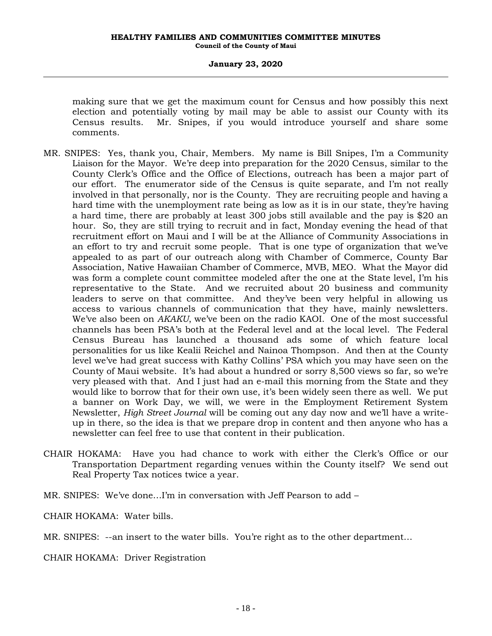making sure that we get the maximum count for Census and how possibly this next election and potentially voting by mail may be able to assist our County with its Census results. Mr. Snipes, if you would introduce yourself and share some comments.

- MR. SNIPES: Yes, thank you, Chair, Members. My name is Bill Snipes, I'm a Community Liaison for the Mayor. We're deep into preparation for the 2020 Census, similar to the County Clerk's Office and the Office of Elections, outreach has been a major part of our effort. The enumerator side of the Census is quite separate, and I'm not really involved in that personally, nor is the County. They are recruiting people and having a hard time with the unemployment rate being as low as it is in our state, they're having a hard time, there are probably at least 300 jobs still available and the pay is \$20 an hour. So, they are still trying to recruit and in fact, Monday evening the head of that recruitment effort on Maui and I will be at the Alliance of Community Associations in an effort to try and recruit some people. That is one type of organization that we've appealed to as part of our outreach along with Chamber of Commerce, County Bar Association, Native Hawaiian Chamber of Commerce, MVB, MEO. What the Mayor did was form a complete count committee modeled after the one at the State level, I'm his representative to the State. And we recruited about 20 business and community leaders to serve on that committee. And they've been very helpful in allowing us access to various channels of communication that they have, mainly newsletters. We've also been on *AKAKU*, we've been on the radio KAOI. One of the most successful channels has been PSA's both at the Federal level and at the local level. The Federal Census Bureau has launched a thousand ads some of which feature local personalities for us like Kealii Reichel and Nainoa Thompson. And then at the County level we've had great success with Kathy Collins' PSA which you may have seen on the County of Maui website. It's had about a hundred or sorry 8,500 views so far, so we're very pleased with that. And I just had an e-mail this morning from the State and they would like to borrow that for their own use, it's been widely seen there as well. We put a banner on Work Day, we will, we were in the Employment Retirement System Newsletter, *High Street Journal* will be coming out any day now and we'll have a writeup in there, so the idea is that we prepare drop in content and then anyone who has a newsletter can feel free to use that content in their publication.
- CHAIR HOKAMA: Have you had chance to work with either the Clerk's Office or our Transportation Department regarding venues within the County itself? We send out Real Property Tax notices twice a year.

MR. SNIPES: We've done…I'm in conversation with Jeff Pearson to add –

CHAIR HOKAMA: Water bills.

MR. SNIPES: --an insert to the water bills. You're right as to the other department…

CHAIR HOKAMA: Driver Registration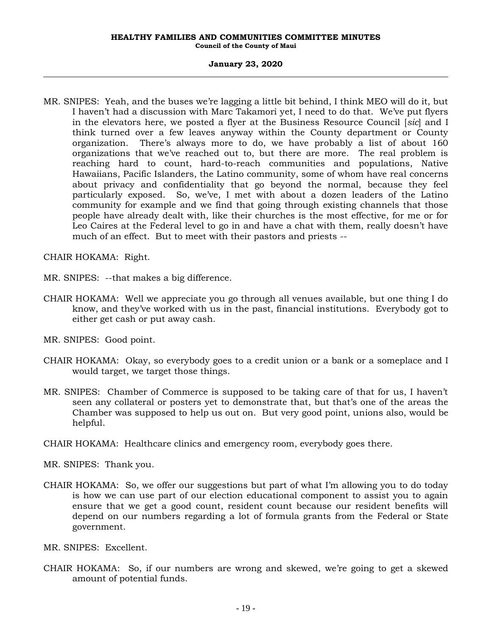MR. SNIPES: Yeah, and the buses we're lagging a little bit behind, I think MEO will do it, but I haven't had a discussion with Marc Takamori yet, I need to do that. We've put flyers in the elevators here, we posted a flyer at the Business Resource Council [*sic*] and I think turned over a few leaves anyway within the County department or County organization. There's always more to do, we have probably a list of about 160 organizations that we've reached out to, but there are more. The real problem is reaching hard to count, hard-to-reach communities and populations, Native Hawaiians, Pacific Islanders, the Latino community, some of whom have real concerns about privacy and confidentiality that go beyond the normal, because they feel particularly exposed. So, we've, I met with about a dozen leaders of the Latino community for example and we find that going through existing channels that those people have already dealt with, like their churches is the most effective, for me or for Leo Caires at the Federal level to go in and have a chat with them, really doesn't have much of an effect. But to meet with their pastors and priests --

CHAIR HOKAMA: Right.

MR. SNIPES: --that makes a big difference.

CHAIR HOKAMA: Well we appreciate you go through all venues available, but one thing I do know, and they've worked with us in the past, financial institutions. Everybody got to either get cash or put away cash.

MR. SNIPES: Good point.

- CHAIR HOKAMA: Okay, so everybody goes to a credit union or a bank or a someplace and I would target, we target those things.
- MR. SNIPES: Chamber of Commerce is supposed to be taking care of that for us, I haven't seen any collateral or posters yet to demonstrate that, but that's one of the areas the Chamber was supposed to help us out on. But very good point, unions also, would be helpful.
- CHAIR HOKAMA: Healthcare clinics and emergency room, everybody goes there.

MR. SNIPES: Thank you.

CHAIR HOKAMA: So, we offer our suggestions but part of what I'm allowing you to do today is how we can use part of our election educational component to assist you to again ensure that we get a good count, resident count because our resident benefits will depend on our numbers regarding a lot of formula grants from the Federal or State government.

MR. SNIPES: Excellent.

CHAIR HOKAMA: So, if our numbers are wrong and skewed, we're going to get a skewed amount of potential funds.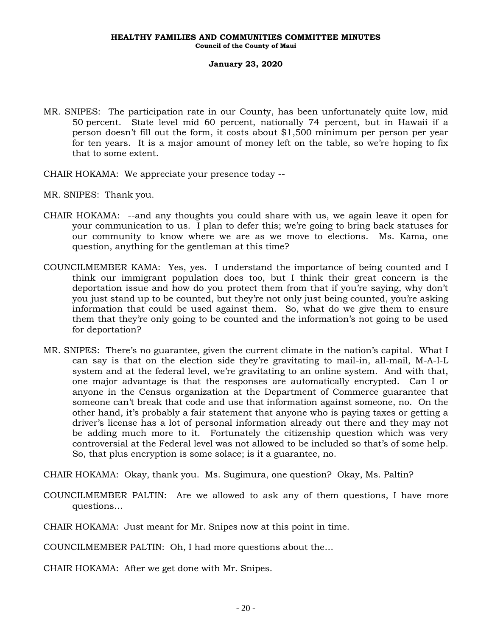- MR. SNIPES: The participation rate in our County, has been unfortunately quite low, mid 50 percent. State level mid 60 percent, nationally 74 percent, but in Hawaii if a person doesn't fill out the form, it costs about \$1,500 minimum per person per year for ten years. It is a major amount of money left on the table, so we're hoping to fix that to some extent.
- CHAIR HOKAMA: We appreciate your presence today --
- MR. SNIPES: Thank you.
- CHAIR HOKAMA: --and any thoughts you could share with us, we again leave it open for your communication to us. I plan to defer this; we're going to bring back statuses for our community to know where we are as we move to elections. Ms. Kama, one question, anything for the gentleman at this time?
- COUNCILMEMBER KAMA: Yes, yes. I understand the importance of being counted and I think our immigrant population does too, but I think their great concern is the deportation issue and how do you protect them from that if you're saying, why don't you just stand up to be counted, but they're not only just being counted, you're asking information that could be used against them. So, what do we give them to ensure them that they're only going to be counted and the information's not going to be used for deportation?
- MR. SNIPES: There's no guarantee, given the current climate in the nation's capital. What I can say is that on the election side they're gravitating to mail-in, all-mail, M-A-I-L system and at the federal level, we're gravitating to an online system. And with that, one major advantage is that the responses are automatically encrypted. Can I or anyone in the Census organization at the Department of Commerce guarantee that someone can't break that code and use that information against someone, no. On the other hand, it's probably a fair statement that anyone who is paying taxes or getting a driver's license has a lot of personal information already out there and they may not be adding much more to it. Fortunately the citizenship question which was very controversial at the Federal level was not allowed to be included so that's of some help. So, that plus encryption is some solace; is it a guarantee, no.

CHAIR HOKAMA: Okay, thank you. Ms. Sugimura, one question? Okay, Ms. Paltin?

- COUNCILMEMBER PALTIN: Are we allowed to ask any of them questions, I have more questions…
- CHAIR HOKAMA: Just meant for Mr. Snipes now at this point in time.

COUNCILMEMBER PALTIN: Oh, I had more questions about the…

CHAIR HOKAMA: After we get done with Mr. Snipes.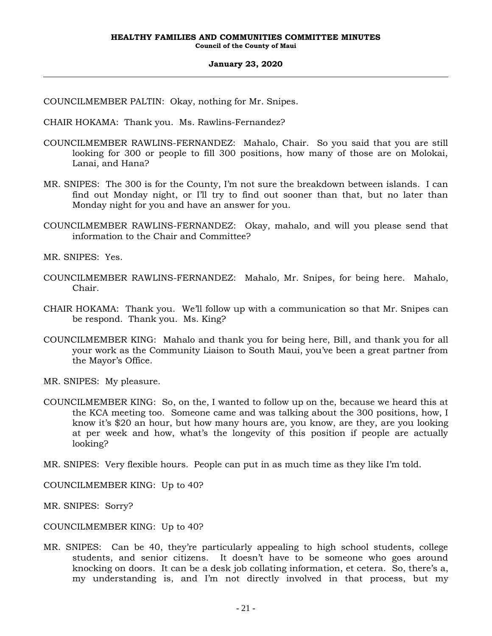COUNCILMEMBER PALTIN: Okay, nothing for Mr. Snipes.

CHAIR HOKAMA: Thank you. Ms. Rawlins-Fernandez?

- COUNCILMEMBER RAWLINS-FERNANDEZ: Mahalo, Chair. So you said that you are still looking for 300 or people to fill 300 positions, how many of those are on Molokai, Lanai, and Hana?
- MR. SNIPES: The 300 is for the County, I'm not sure the breakdown between islands. I can find out Monday night, or I'll try to find out sooner than that, but no later than Monday night for you and have an answer for you.
- COUNCILMEMBER RAWLINS-FERNANDEZ: Okay, mahalo, and will you please send that information to the Chair and Committee?

MR. SNIPES: Yes.

- COUNCILMEMBER RAWLINS-FERNANDEZ: Mahalo, Mr. Snipes, for being here. Mahalo, Chair.
- CHAIR HOKAMA: Thank you. We'll follow up with a communication so that Mr. Snipes can be respond. Thank you. Ms. King?
- COUNCILMEMBER KING: Mahalo and thank you for being here, Bill, and thank you for all your work as the Community Liaison to South Maui, you've been a great partner from the Mayor's Office.

MR. SNIPES: My pleasure.

COUNCILMEMBER KING: So, on the, I wanted to follow up on the, because we heard this at the KCA meeting too. Someone came and was talking about the 300 positions, how, I know it's \$20 an hour, but how many hours are, you know, are they, are you looking at per week and how, what's the longevity of this position if people are actually looking?

MR. SNIPES: Very flexible hours. People can put in as much time as they like I'm told.

COUNCILMEMBER KING: Up to 40?

MR. SNIPES: Sorry?

COUNCILMEMBER KING: Up to 40?

MR. SNIPES: Can be 40, they're particularly appealing to high school students, college students, and senior citizens. It doesn't have to be someone who goes around knocking on doors. It can be a desk job collating information, et cetera. So, there's a, my understanding is, and I'm not directly involved in that process, but my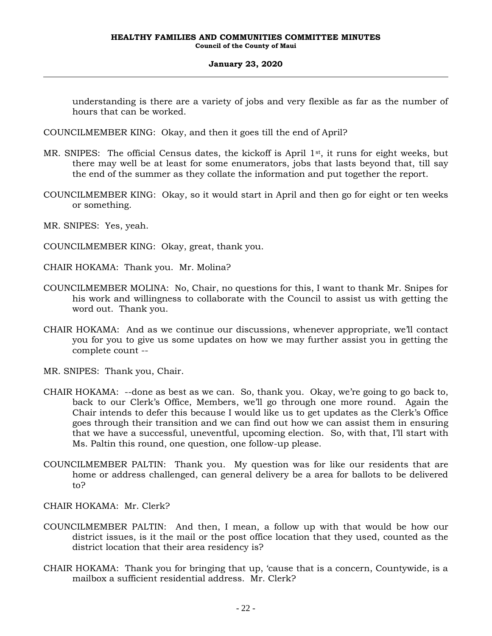understanding is there are a variety of jobs and very flexible as far as the number of hours that can be worked.

COUNCILMEMBER KING: Okay, and then it goes till the end of April?

- MR. SNIPES: The official Census dates, the kickoff is April  $1<sup>st</sup>$ , it runs for eight weeks, but there may well be at least for some enumerators, jobs that lasts beyond that, till say the end of the summer as they collate the information and put together the report.
- COUNCILMEMBER KING: Okay, so it would start in April and then go for eight or ten weeks or something.
- MR. SNIPES: Yes, yeah.

COUNCILMEMBER KING: Okay, great, thank you.

- CHAIR HOKAMA: Thank you. Mr. Molina?
- COUNCILMEMBER MOLINA: No, Chair, no questions for this, I want to thank Mr. Snipes for his work and willingness to collaborate with the Council to assist us with getting the word out. Thank you.
- CHAIR HOKAMA: And as we continue our discussions, whenever appropriate, we'll contact you for you to give us some updates on how we may further assist you in getting the complete count --
- MR. SNIPES: Thank you, Chair.
- CHAIR HOKAMA: --done as best as we can. So, thank you. Okay, we're going to go back to, back to our Clerk's Office, Members, we'll go through one more round. Again the Chair intends to defer this because I would like us to get updates as the Clerk's Office goes through their transition and we can find out how we can assist them in ensuring that we have a successful, uneventful, upcoming election. So, with that, I'll start with Ms. Paltin this round, one question, one follow-up please.
- COUNCILMEMBER PALTIN: Thank you. My question was for like our residents that are home or address challenged, can general delivery be a area for ballots to be delivered to?
- CHAIR HOKAMA: Mr. Clerk?
- COUNCILMEMBER PALTIN: And then, I mean, a follow up with that would be how our district issues, is it the mail or the post office location that they used, counted as the district location that their area residency is?
- CHAIR HOKAMA: Thank you for bringing that up, 'cause that is a concern, Countywide, is a mailbox a sufficient residential address. Mr. Clerk?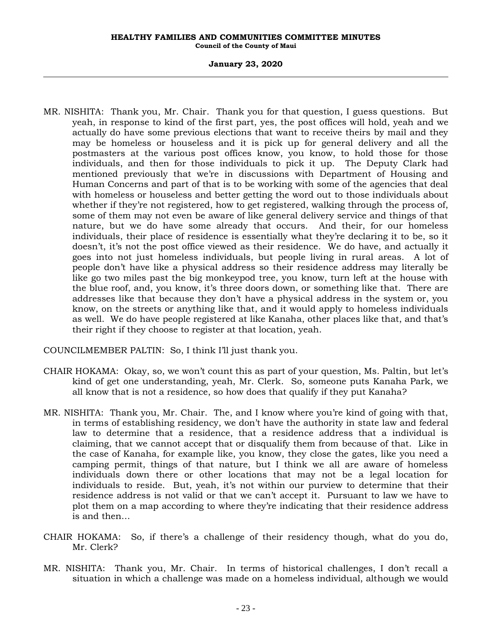#### **January 23, 2020**

MR. NISHITA: Thank you, Mr. Chair. Thank you for that question, I guess questions. But yeah, in response to kind of the first part, yes, the post offices will hold, yeah and we actually do have some previous elections that want to receive theirs by mail and they may be homeless or houseless and it is pick up for general delivery and all the postmasters at the various post offices know, you know, to hold those for those individuals, and then for those individuals to pick it up. The Deputy Clark had mentioned previously that we're in discussions with Department of Housing and Human Concerns and part of that is to be working with some of the agencies that deal with homeless or houseless and better getting the word out to those individuals about whether if they're not registered, how to get registered, walking through the process of, some of them may not even be aware of like general delivery service and things of that nature, but we do have some already that occurs. And their, for our homeless individuals, their place of residence is essentially what they're declaring it to be, so it doesn't, it's not the post office viewed as their residence. We do have, and actually it goes into not just homeless individuals, but people living in rural areas. A lot of people don't have like a physical address so their residence address may literally be like go two miles past the big monkeypod tree, you know, turn left at the house with the blue roof, and, you know, it's three doors down, or something like that. There are addresses like that because they don't have a physical address in the system or, you know, on the streets or anything like that, and it would apply to homeless individuals as well. We do have people registered at like Kanaha, other places like that, and that's their right if they choose to register at that location, yeah.

COUNCILMEMBER PALTIN: So, I think I'll just thank you.

- CHAIR HOKAMA: Okay, so, we won't count this as part of your question, Ms. Paltin, but let's kind of get one understanding, yeah, Mr. Clerk. So, someone puts Kanaha Park, we all know that is not a residence, so how does that qualify if they put Kanaha?
- MR. NISHITA: Thank you, Mr. Chair. The, and I know where you're kind of going with that, in terms of establishing residency, we don't have the authority in state law and federal law to determine that a residence, that a residence address that a individual is claiming, that we cannot accept that or disqualify them from because of that. Like in the case of Kanaha, for example like, you know, they close the gates, like you need a camping permit, things of that nature, but I think we all are aware of homeless individuals down there or other locations that may not be a legal location for individuals to reside. But, yeah, it's not within our purview to determine that their residence address is not valid or that we can't accept it. Pursuant to law we have to plot them on a map according to where they're indicating that their residence address is and then…
- CHAIR HOKAMA: So, if there's a challenge of their residency though, what do you do, Mr. Clerk?
- MR. NISHITA: Thank you, Mr. Chair. In terms of historical challenges, I don't recall a situation in which a challenge was made on a homeless individual, although we would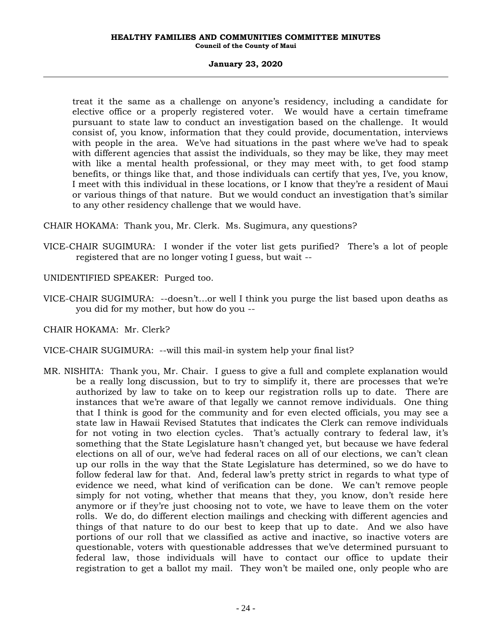### **January 23, 2020**

treat it the same as a challenge on anyone's residency, including a candidate for elective office or a properly registered voter. We would have a certain timeframe pursuant to state law to conduct an investigation based on the challenge. It would consist of, you know, information that they could provide, documentation, interviews with people in the area. We've had situations in the past where we've had to speak with different agencies that assist the individuals, so they may be like, they may meet with like a mental health professional, or they may meet with, to get food stamp benefits, or things like that, and those individuals can certify that yes, I've, you know, I meet with this individual in these locations, or I know that they're a resident of Maui or various things of that nature. But we would conduct an investigation that's similar to any other residency challenge that we would have.

CHAIR HOKAMA: Thank you, Mr. Clerk. Ms. Sugimura, any questions?

- VICE-CHAIR SUGIMURA: I wonder if the voter list gets purified? There's a lot of people registered that are no longer voting I guess, but wait --
- UNIDENTIFIED SPEAKER: Purged too.
- VICE-CHAIR SUGIMURA: --doesn't…or well I think you purge the list based upon deaths as you did for my mother, but how do you --

CHAIR HOKAMA: Mr. Clerk?

- VICE-CHAIR SUGIMURA: --will this mail-in system help your final list?
- MR. NISHITA: Thank you, Mr. Chair. I guess to give a full and complete explanation would be a really long discussion, but to try to simplify it, there are processes that we're authorized by law to take on to keep our registration rolls up to date. There are instances that we're aware of that legally we cannot remove individuals. One thing that I think is good for the community and for even elected officials, you may see a state law in Hawaii Revised Statutes that indicates the Clerk can remove individuals for not voting in two election cycles. That's actually contrary to federal law, it's something that the State Legislature hasn't changed yet, but because we have federal elections on all of our, we've had federal races on all of our elections, we can't clean up our rolls in the way that the State Legislature has determined, so we do have to follow federal law for that. And, federal law's pretty strict in regards to what type of evidence we need, what kind of verification can be done. We can't remove people simply for not voting, whether that means that they, you know, don't reside here anymore or if they're just choosing not to vote, we have to leave them on the voter rolls. We do, do different election mailings and checking with different agencies and things of that nature to do our best to keep that up to date. And we also have portions of our roll that we classified as active and inactive, so inactive voters are questionable, voters with questionable addresses that we've determined pursuant to federal law, those individuals will have to contact our office to update their registration to get a ballot my mail. They won't be mailed one, only people who are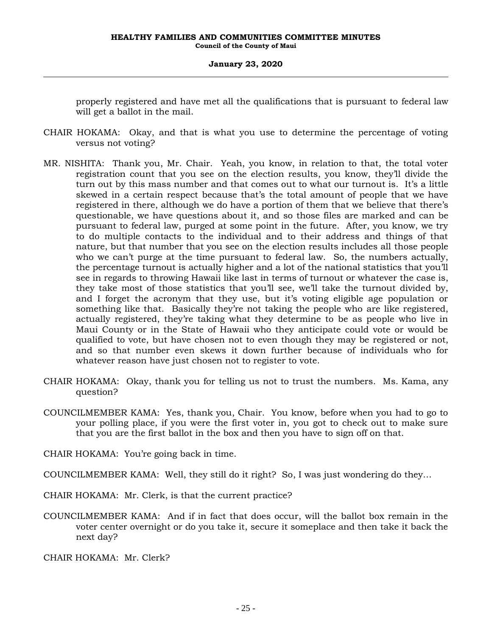properly registered and have met all the qualifications that is pursuant to federal law will get a ballot in the mail.

- CHAIR HOKAMA: Okay, and that is what you use to determine the percentage of voting versus not voting?
- MR. NISHITA: Thank you, Mr. Chair. Yeah, you know, in relation to that, the total voter registration count that you see on the election results, you know, they'll divide the turn out by this mass number and that comes out to what our turnout is. It's a little skewed in a certain respect because that's the total amount of people that we have registered in there, although we do have a portion of them that we believe that there's questionable, we have questions about it, and so those files are marked and can be pursuant to federal law, purged at some point in the future. After, you know, we try to do multiple contacts to the individual and to their address and things of that nature, but that number that you see on the election results includes all those people who we can't purge at the time pursuant to federal law. So, the numbers actually, the percentage turnout is actually higher and a lot of the national statistics that you'll see in regards to throwing Hawaii like last in terms of turnout or whatever the case is, they take most of those statistics that you'll see, we'll take the turnout divided by, and I forget the acronym that they use, but it's voting eligible age population or something like that. Basically they're not taking the people who are like registered, actually registered, they're taking what they determine to be as people who live in Maui County or in the State of Hawaii who they anticipate could vote or would be qualified to vote, but have chosen not to even though they may be registered or not, and so that number even skews it down further because of individuals who for whatever reason have just chosen not to register to vote.
- CHAIR HOKAMA: Okay, thank you for telling us not to trust the numbers. Ms. Kama, any question?
- COUNCILMEMBER KAMA: Yes, thank you, Chair. You know, before when you had to go to your polling place, if you were the first voter in, you got to check out to make sure that you are the first ballot in the box and then you have to sign off on that.

CHAIR HOKAMA: You're going back in time.

COUNCILMEMBER KAMA: Well, they still do it right? So, I was just wondering do they…

- CHAIR HOKAMA: Mr. Clerk, is that the current practice?
- COUNCILMEMBER KAMA: And if in fact that does occur, will the ballot box remain in the voter center overnight or do you take it, secure it someplace and then take it back the next day?

CHAIR HOKAMA: Mr. Clerk?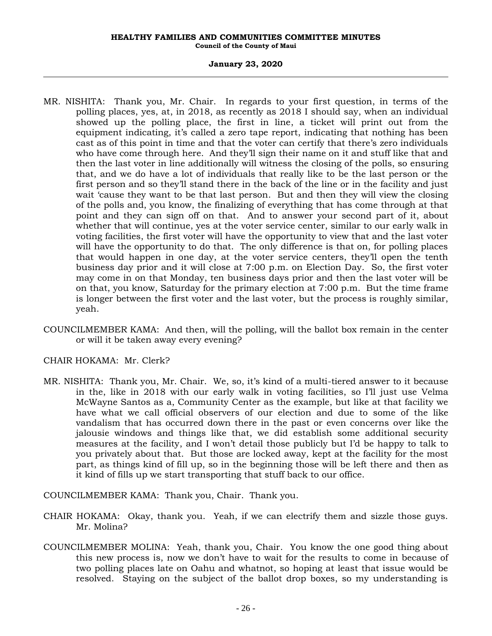### **January 23, 2020**

- MR. NISHITA: Thank you, Mr. Chair. In regards to your first question, in terms of the polling places, yes, at, in 2018, as recently as 2018 I should say, when an individual showed up the polling place, the first in line, a ticket will print out from the equipment indicating, it's called a zero tape report, indicating that nothing has been cast as of this point in time and that the voter can certify that there's zero individuals who have come through here. And they'll sign their name on it and stuff like that and then the last voter in line additionally will witness the closing of the polls, so ensuring that, and we do have a lot of individuals that really like to be the last person or the first person and so they'll stand there in the back of the line or in the facility and just wait 'cause they want to be that last person. But and then they will view the closing of the polls and, you know, the finalizing of everything that has come through at that point and they can sign off on that. And to answer your second part of it, about whether that will continue, yes at the voter service center, similar to our early walk in voting facilities, the first voter will have the opportunity to view that and the last voter will have the opportunity to do that. The only difference is that on, for polling places that would happen in one day, at the voter service centers, they'll open the tenth business day prior and it will close at 7:00 p.m. on Election Day. So, the first voter may come in on that Monday, ten business days prior and then the last voter will be on that, you know, Saturday for the primary election at 7:00 p.m. But the time frame is longer between the first voter and the last voter, but the process is roughly similar, yeah.
- COUNCILMEMBER KAMA: And then, will the polling, will the ballot box remain in the center or will it be taken away every evening?

CHAIR HOKAMA: Mr. Clerk?

MR. NISHITA: Thank you, Mr. Chair. We, so, it's kind of a multi-tiered answer to it because in the, like in 2018 with our early walk in voting facilities, so I'll just use Velma McWayne Santos as a, Community Center as the example, but like at that facility we have what we call official observers of our election and due to some of the like vandalism that has occurred down there in the past or even concerns over like the jalousie windows and things like that, we did establish some additional security measures at the facility, and I won't detail those publicly but I'd be happy to talk to you privately about that. But those are locked away, kept at the facility for the most part, as things kind of fill up, so in the beginning those will be left there and then as it kind of fills up we start transporting that stuff back to our office.

COUNCILMEMBER KAMA: Thank you, Chair. Thank you.

- CHAIR HOKAMA: Okay, thank you. Yeah, if we can electrify them and sizzle those guys. Mr. Molina?
- COUNCILMEMBER MOLINA: Yeah, thank you, Chair. You know the one good thing about this new process is, now we don't have to wait for the results to come in because of two polling places late on Oahu and whatnot, so hoping at least that issue would be resolved. Staying on the subject of the ballot drop boxes, so my understanding is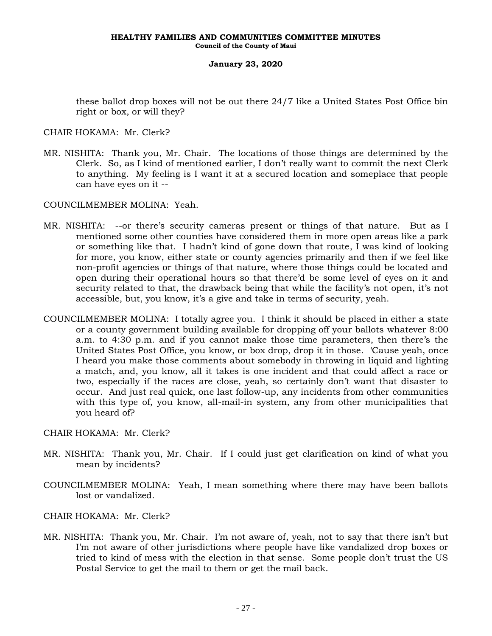these ballot drop boxes will not be out there 24/7 like a United States Post Office bin right or box, or will they?

CHAIR HOKAMA: Mr. Clerk?

MR. NISHITA: Thank you, Mr. Chair. The locations of those things are determined by the Clerk. So, as I kind of mentioned earlier, I don't really want to commit the next Clerk to anything. My feeling is I want it at a secured location and someplace that people can have eyes on it --

COUNCILMEMBER MOLINA: Yeah.

- MR. NISHITA: --or there's security cameras present or things of that nature. But as I mentioned some other counties have considered them in more open areas like a park or something like that. I hadn't kind of gone down that route, I was kind of looking for more, you know, either state or county agencies primarily and then if we feel like non-profit agencies or things of that nature, where those things could be located and open during their operational hours so that there'd be some level of eyes on it and security related to that, the drawback being that while the facility's not open, it's not accessible, but, you know, it's a give and take in terms of security, yeah.
- COUNCILMEMBER MOLINA: I totally agree you. I think it should be placed in either a state or a county government building available for dropping off your ballots whatever 8:00 a.m. to 4:30 p.m. and if you cannot make those time parameters, then there's the United States Post Office, you know, or box drop, drop it in those. 'Cause yeah, once I heard you make those comments about somebody in throwing in liquid and lighting a match, and, you know, all it takes is one incident and that could affect a race or two, especially if the races are close, yeah, so certainly don't want that disaster to occur. And just real quick, one last follow-up, any incidents from other communities with this type of, you know, all-mail-in system, any from other municipalities that you heard of?

## CHAIR HOKAMA: Mr. Clerk?

- MR. NISHITA: Thank you, Mr. Chair. If I could just get clarification on kind of what you mean by incidents?
- COUNCILMEMBER MOLINA: Yeah, I mean something where there may have been ballots lost or vandalized.

## CHAIR HOKAMA: Mr. Clerk?

MR. NISHITA: Thank you, Mr. Chair. I'm not aware of, yeah, not to say that there isn't but I'm not aware of other jurisdictions where people have like vandalized drop boxes or tried to kind of mess with the election in that sense. Some people don't trust the US Postal Service to get the mail to them or get the mail back.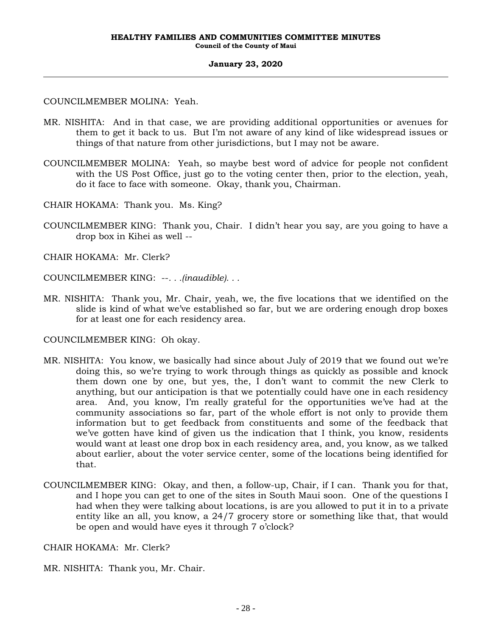COUNCILMEMBER MOLINA: Yeah.

- MR. NISHITA: And in that case, we are providing additional opportunities or avenues for them to get it back to us. But I'm not aware of any kind of like widespread issues or things of that nature from other jurisdictions, but I may not be aware.
- COUNCILMEMBER MOLINA: Yeah, so maybe best word of advice for people not confident with the US Post Office, just go to the voting center then, prior to the election, yeah, do it face to face with someone. Okay, thank you, Chairman.
- CHAIR HOKAMA: Thank you. Ms. King?
- COUNCILMEMBER KING: Thank you, Chair. I didn't hear you say, are you going to have a drop box in Kihei as well --
- CHAIR HOKAMA: Mr. Clerk?
- COUNCILMEMBER KING: --*. . .(inaudible). . .*
- MR. NISHITA: Thank you, Mr. Chair, yeah, we, the five locations that we identified on the slide is kind of what we've established so far, but we are ordering enough drop boxes for at least one for each residency area.

COUNCILMEMBER KING: Oh okay.

- MR. NISHITA: You know, we basically had since about July of 2019 that we found out we're doing this, so we're trying to work through things as quickly as possible and knock them down one by one, but yes, the, I don't want to commit the new Clerk to anything, but our anticipation is that we potentially could have one in each residency area. And, you know, I'm really grateful for the opportunities we've had at the community associations so far, part of the whole effort is not only to provide them information but to get feedback from constituents and some of the feedback that we've gotten have kind of given us the indication that I think, you know, residents would want at least one drop box in each residency area, and, you know, as we talked about earlier, about the voter service center, some of the locations being identified for that.
- COUNCILMEMBER KING: Okay, and then, a follow-up, Chair, if I can. Thank you for that, and I hope you can get to one of the sites in South Maui soon. One of the questions I had when they were talking about locations, is are you allowed to put it in to a private entity like an all, you know, a 24/7 grocery store or something like that, that would be open and would have eyes it through 7 o'clock?

CHAIR HOKAMA: Mr. Clerk?

MR. NISHITA: Thank you, Mr. Chair.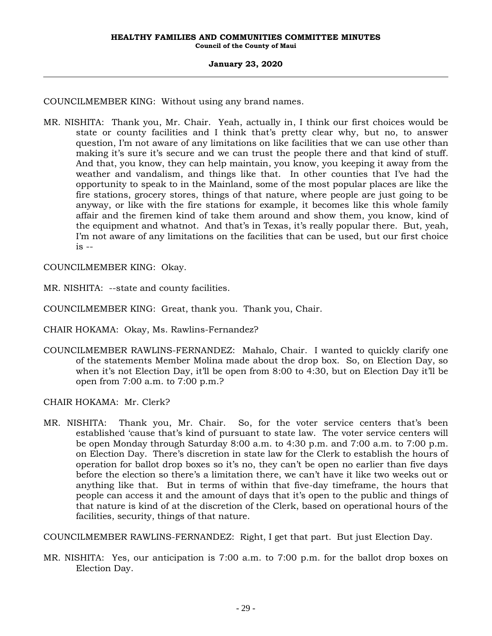COUNCILMEMBER KING: Without using any brand names.

MR. NISHITA: Thank you, Mr. Chair. Yeah, actually in, I think our first choices would be state or county facilities and I think that's pretty clear why, but no, to answer question, I'm not aware of any limitations on like facilities that we can use other than making it's sure it's secure and we can trust the people there and that kind of stuff. And that, you know, they can help maintain, you know, you keeping it away from the weather and vandalism, and things like that. In other counties that I've had the opportunity to speak to in the Mainland, some of the most popular places are like the fire stations, grocery stores, things of that nature, where people are just going to be anyway, or like with the fire stations for example, it becomes like this whole family affair and the firemen kind of take them around and show them, you know, kind of the equipment and whatnot. And that's in Texas, it's really popular there. But, yeah, I'm not aware of any limitations on the facilities that can be used, but our first choice  $is -$ 

COUNCILMEMBER KING: Okay.

MR. NISHITA: --state and county facilities.

COUNCILMEMBER KING: Great, thank you. Thank you, Chair.

CHAIR HOKAMA: Okay, Ms. Rawlins-Fernandez?

COUNCILMEMBER RAWLINS-FERNANDEZ: Mahalo, Chair. I wanted to quickly clarify one of the statements Member Molina made about the drop box. So, on Election Day, so when it's not Election Day, it'll be open from 8:00 to 4:30, but on Election Day it'll be open from 7:00 a.m. to 7:00 p.m.?

CHAIR HOKAMA: Mr. Clerk?

MR. NISHITA: Thank you, Mr. Chair. So, for the voter service centers that's been established 'cause that's kind of pursuant to state law. The voter service centers will be open Monday through Saturday 8:00 a.m. to 4:30 p.m. and 7:00 a.m. to 7:00 p.m. on Election Day. There's discretion in state law for the Clerk to establish the hours of operation for ballot drop boxes so it's no, they can't be open no earlier than five days before the election so there's a limitation there, we can't have it like two weeks out or anything like that. But in terms of within that five-day timeframe, the hours that people can access it and the amount of days that it's open to the public and things of that nature is kind of at the discretion of the Clerk, based on operational hours of the facilities, security, things of that nature.

COUNCILMEMBER RAWLINS-FERNANDEZ: Right, I get that part. But just Election Day.

MR. NISHITA: Yes, our anticipation is 7:00 a.m. to 7:00 p.m. for the ballot drop boxes on Election Day.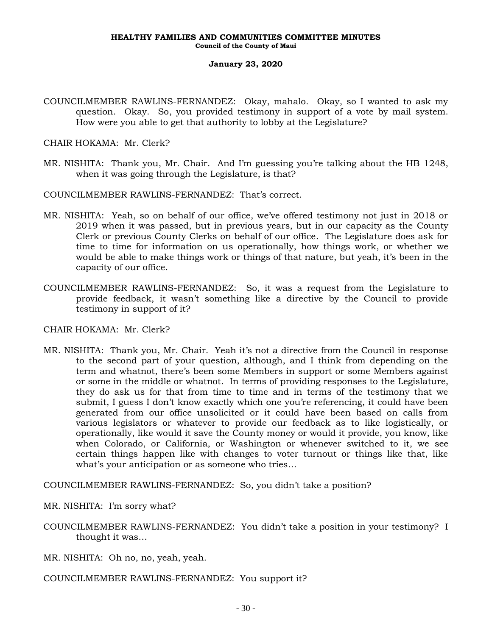COUNCILMEMBER RAWLINS-FERNANDEZ: Okay, mahalo. Okay, so I wanted to ask my question. Okay. So, you provided testimony in support of a vote by mail system. How were you able to get that authority to lobby at the Legislature?

CHAIR HOKAMA: Mr. Clerk?

MR. NISHITA: Thank you, Mr. Chair. And I'm guessing you're talking about the HB 1248, when it was going through the Legislature, is that?

COUNCILMEMBER RAWLINS-FERNANDEZ: That's correct.

- MR. NISHITA: Yeah, so on behalf of our office, we've offered testimony not just in 2018 or 2019 when it was passed, but in previous years, but in our capacity as the County Clerk or previous County Clerks on behalf of our office. The Legislature does ask for time to time for information on us operationally, how things work, or whether we would be able to make things work or things of that nature, but yeah, it's been in the capacity of our office.
- COUNCILMEMBER RAWLINS-FERNANDEZ: So, it was a request from the Legislature to provide feedback, it wasn't something like a directive by the Council to provide testimony in support of it?

CHAIR HOKAMA: Mr. Clerk?

MR. NISHITA: Thank you, Mr. Chair. Yeah it's not a directive from the Council in response to the second part of your question, although, and I think from depending on the term and whatnot, there's been some Members in support or some Members against or some in the middle or whatnot. In terms of providing responses to the Legislature, they do ask us for that from time to time and in terms of the testimony that we submit, I guess I don't know exactly which one you're referencing, it could have been generated from our office unsolicited or it could have been based on calls from various legislators or whatever to provide our feedback as to like logistically, or operationally, like would it save the County money or would it provide, you know, like when Colorado, or California, or Washington or whenever switched to it, we see certain things happen like with changes to voter turnout or things like that, like what's your anticipation or as someone who tries…

COUNCILMEMBER RAWLINS-FERNANDEZ: So, you didn't take a position?

MR. NISHITA: I'm sorry what?

COUNCILMEMBER RAWLINS-FERNANDEZ: You didn't take a position in your testimony? I thought it was…

MR. NISHITA: Oh no, no, yeah, yeah.

COUNCILMEMBER RAWLINS-FERNANDEZ: You support it?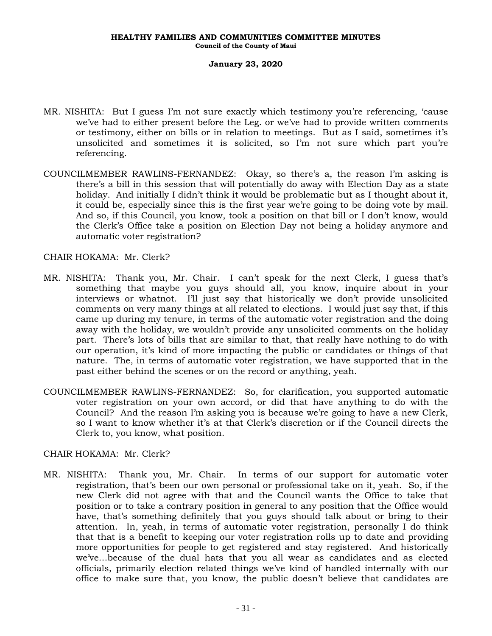- MR. NISHITA: But I guess I'm not sure exactly which testimony you're referencing, 'cause we've had to either present before the Leg. or we've had to provide written comments or testimony, either on bills or in relation to meetings. But as I said, sometimes it's unsolicited and sometimes it is solicited, so I'm not sure which part you're referencing.
- COUNCILMEMBER RAWLINS-FERNANDEZ: Okay, so there's a, the reason I'm asking is there's a bill in this session that will potentially do away with Election Day as a state holiday. And initially I didn't think it would be problematic but as I thought about it, it could be, especially since this is the first year we're going to be doing vote by mail. And so, if this Council, you know, took a position on that bill or I don't know, would the Clerk's Office take a position on Election Day not being a holiday anymore and automatic voter registration?

### CHAIR HOKAMA: Mr. Clerk?

- MR. NISHITA: Thank you, Mr. Chair. I can't speak for the next Clerk, I guess that's something that maybe you guys should all, you know, inquire about in your interviews or whatnot. I'll just say that historically we don't provide unsolicited comments on very many things at all related to elections. I would just say that, if this came up during my tenure, in terms of the automatic voter registration and the doing away with the holiday, we wouldn't provide any unsolicited comments on the holiday part. There's lots of bills that are similar to that, that really have nothing to do with our operation, it's kind of more impacting the public or candidates or things of that nature. The, in terms of automatic voter registration, we have supported that in the past either behind the scenes or on the record or anything, yeah.
- COUNCILMEMBER RAWLINS-FERNANDEZ: So, for clarification, you supported automatic voter registration on your own accord, or did that have anything to do with the Council? And the reason I'm asking you is because we're going to have a new Clerk, so I want to know whether it's at that Clerk's discretion or if the Council directs the Clerk to, you know, what position.

## CHAIR HOKAMA: Mr. Clerk?

MR. NISHITA: Thank you, Mr. Chair. In terms of our support for automatic voter registration, that's been our own personal or professional take on it, yeah. So, if the new Clerk did not agree with that and the Council wants the Office to take that position or to take a contrary position in general to any position that the Office would have, that's something definitely that you guys should talk about or bring to their attention. In, yeah, in terms of automatic voter registration, personally I do think that that is a benefit to keeping our voter registration rolls up to date and providing more opportunities for people to get registered and stay registered. And historically we've…because of the dual hats that you all wear as candidates and as elected officials, primarily election related things we've kind of handled internally with our office to make sure that, you know, the public doesn't believe that candidates are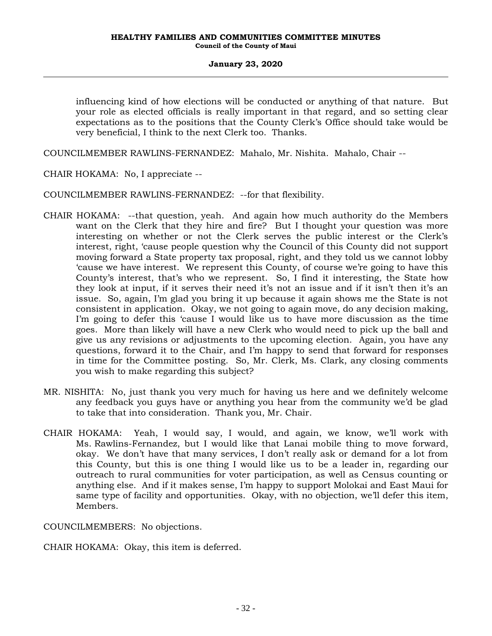influencing kind of how elections will be conducted or anything of that nature. But your role as elected officials is really important in that regard, and so setting clear expectations as to the positions that the County Clerk's Office should take would be very beneficial, I think to the next Clerk too. Thanks.

COUNCILMEMBER RAWLINS-FERNANDEZ: Mahalo, Mr. Nishita. Mahalo, Chair --

CHAIR HOKAMA: No, I appreciate --

COUNCILMEMBER RAWLINS-FERNANDEZ: --for that flexibility.

- CHAIR HOKAMA: --that question, yeah. And again how much authority do the Members want on the Clerk that they hire and fire? But I thought your question was more interesting on whether or not the Clerk serves the public interest or the Clerk's interest, right, 'cause people question why the Council of this County did not support moving forward a State property tax proposal, right, and they told us we cannot lobby 'cause we have interest. We represent this County, of course we're going to have this County's interest, that's who we represent. So, I find it interesting, the State how they look at input, if it serves their need it's not an issue and if it isn't then it's an issue. So, again, I'm glad you bring it up because it again shows me the State is not consistent in application. Okay, we not going to again move, do any decision making, I'm going to defer this 'cause I would like us to have more discussion as the time goes. More than likely will have a new Clerk who would need to pick up the ball and give us any revisions or adjustments to the upcoming election. Again, you have any questions, forward it to the Chair, and I'm happy to send that forward for responses in time for the Committee posting. So, Mr. Clerk, Ms. Clark, any closing comments you wish to make regarding this subject?
- MR. NISHITA: No, just thank you very much for having us here and we definitely welcome any feedback you guys have or anything you hear from the community we'd be glad to take that into consideration. Thank you, Mr. Chair.
- CHAIR HOKAMA: Yeah, I would say, I would, and again, we know, we'll work with Ms. Rawlins-Fernandez, but I would like that Lanai mobile thing to move forward, okay. We don't have that many services, I don't really ask or demand for a lot from this County, but this is one thing I would like us to be a leader in, regarding our outreach to rural communities for voter participation, as well as Census counting or anything else. And if it makes sense, I'm happy to support Molokai and East Maui for same type of facility and opportunities. Okay, with no objection, we'll defer this item, Members.

COUNCILMEMBERS: No objections.

CHAIR HOKAMA: Okay, this item is deferred.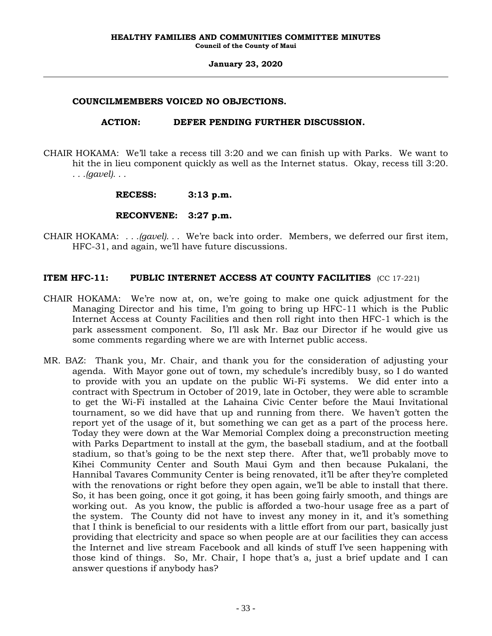### **COUNCILMEMBERS VOICED NO OBJECTIONS.**

### **ACTION: DEFER PENDING FURTHER DISCUSSION.**

CHAIR HOKAMA: We'll take a recess till 3:20 and we can finish up with Parks. We want to hit the in lieu component quickly as well as the Internet status. Okay, recess till 3:20. *. . .(gavel). . .*

### **RECESS: 3:13 p.m.**

## **RECONVENE: 3:27 p.m.**

CHAIR HOKAMA: *. . .(gavel). . .* We're back into order. Members, we deferred our first item, HFC-31, and again, we'll have future discussions.

## **ITEM HFC-11: PUBLIC INTERNET ACCESS AT COUNTY FACILITIES** (CC 17-221)

- CHAIR HOKAMA: We're now at, on, we're going to make one quick adjustment for the Managing Director and his time, I'm going to bring up HFC-11 which is the Public Internet Access at County Facilities and then roll right into then HFC-1 which is the park assessment component. So, I'll ask Mr. Baz our Director if he would give us some comments regarding where we are with Internet public access.
- MR. BAZ: Thank you, Mr. Chair, and thank you for the consideration of adjusting your agenda. With Mayor gone out of town, my schedule's incredibly busy, so I do wanted to provide with you an update on the public Wi-Fi systems. We did enter into a contract with Spectrum in October of 2019, late in October, they were able to scramble to get the Wi-Fi installed at the Lahaina Civic Center before the Maui Invitational tournament, so we did have that up and running from there. We haven't gotten the report yet of the usage of it, but something we can get as a part of the process here. Today they were down at the War Memorial Complex doing a preconstruction meeting with Parks Department to install at the gym, the baseball stadium, and at the football stadium, so that's going to be the next step there. After that, we'll probably move to Kihei Community Center and South Maui Gym and then because Pukalani, the Hannibal Tavares Community Center is being renovated, it'll be after they're completed with the renovations or right before they open again, we'll be able to install that there. So, it has been going, once it got going, it has been going fairly smooth, and things are working out. As you know, the public is afforded a two-hour usage free as a part of the system. The County did not have to invest any money in it, and it's something that I think is beneficial to our residents with a little effort from our part, basically just providing that electricity and space so when people are at our facilities they can access the Internet and live stream Facebook and all kinds of stuff I've seen happening with those kind of things. So, Mr. Chair, I hope that's a, just a brief update and I can answer questions if anybody has?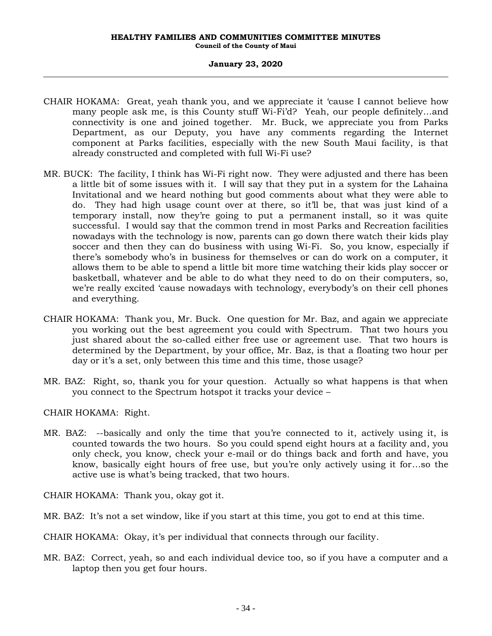- CHAIR HOKAMA: Great, yeah thank you, and we appreciate it 'cause I cannot believe how many people ask me, is this County stuff Wi-Fi'd? Yeah, our people definitely…and connectivity is one and joined together. Mr. Buck, we appreciate you from Parks Department, as our Deputy, you have any comments regarding the Internet component at Parks facilities, especially with the new South Maui facility, is that already constructed and completed with full Wi-Fi use?
- MR. BUCK: The facility, I think has Wi-Fi right now. They were adjusted and there has been a little bit of some issues with it. I will say that they put in a system for the Lahaina Invitational and we heard nothing but good comments about what they were able to do. They had high usage count over at there, so it'll be, that was just kind of a temporary install, now they're going to put a permanent install, so it was quite successful. I would say that the common trend in most Parks and Recreation facilities nowadays with the technology is now, parents can go down there watch their kids play soccer and then they can do business with using Wi-Fi. So, you know, especially if there's somebody who's in business for themselves or can do work on a computer, it allows them to be able to spend a little bit more time watching their kids play soccer or basketball, whatever and be able to do what they need to do on their computers, so, we're really excited 'cause nowadays with technology, everybody's on their cell phones and everything.
- CHAIR HOKAMA: Thank you, Mr. Buck. One question for Mr. Baz, and again we appreciate you working out the best agreement you could with Spectrum. That two hours you just shared about the so-called either free use or agreement use. That two hours is determined by the Department, by your office, Mr. Baz, is that a floating two hour per day or it's a set, only between this time and this time, those usage?
- MR. BAZ: Right, so, thank you for your question. Actually so what happens is that when you connect to the Spectrum hotspot it tracks your device –

CHAIR HOKAMA: Right.

MR. BAZ: --basically and only the time that you're connected to it, actively using it, is counted towards the two hours. So you could spend eight hours at a facility and, you only check, you know, check your e-mail or do things back and forth and have, you know, basically eight hours of free use, but you're only actively using it for…so the active use is what's being tracked, that two hours.

CHAIR HOKAMA: Thank you, okay got it.

MR. BAZ: It's not a set window, like if you start at this time, you got to end at this time.

CHAIR HOKAMA: Okay, it's per individual that connects through our facility.

MR. BAZ: Correct, yeah, so and each individual device too, so if you have a computer and a laptop then you get four hours.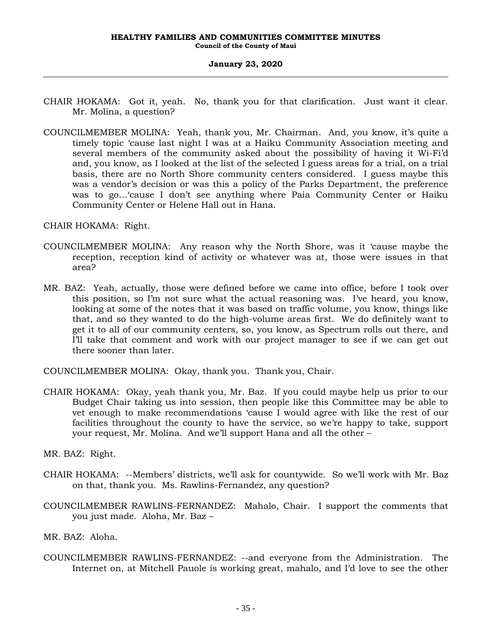- CHAIR HOKAMA: Got it, yeah. No, thank you for that clarification. Just want it clear. Mr. Molina, a question?
- COUNCILMEMBER MOLINA: Yeah, thank you, Mr. Chairman. And, you know, it's quite a timely topic 'cause last night I was at a Haiku Community Association meeting and several members of the community asked about the possibility of having it Wi-Fi'd and, you know, as I looked at the list of the selected I guess areas for a trial, on a trial basis, there are no North Shore community centers considered. I guess maybe this was a vendor's decision or was this a policy of the Parks Department, the preference was to go…'cause I don't see anything where Paia Community Center or Haiku Community Center or Helene Hall out in Hana.

CHAIR HOKAMA: Right.

- COUNCILMEMBER MOLINA: Any reason why the North Shore, was it 'cause maybe the reception, reception kind of activity or whatever was at, those were issues in that area?
- MR. BAZ: Yeah, actually, those were defined before we came into office, before I took over this position, so I'm not sure what the actual reasoning was. I've heard, you know, looking at some of the notes that it was based on traffic volume, you know, things like that, and so they wanted to do the high-volume areas first. We do definitely want to get it to all of our community centers, so, you know, as Spectrum rolls out there, and I'll take that comment and work with our project manager to see if we can get out there sooner than later.

COUNCILMEMBER MOLINA: Okay, thank you. Thank you, Chair.

CHAIR HOKAMA: Okay, yeah thank you, Mr. Baz. If you could maybe help us prior to our Budget Chair taking us into session, then people like this Committee may be able to vet enough to make recommendations 'cause I would agree with like the rest of our facilities throughout the county to have the service, so we're happy to take, support your request, Mr. Molina. And we'll support Hana and all the other –

MR. BAZ: Right.

- CHAIR HOKAMA: --Members' districts, we'll ask for countywide. So we'll work with Mr. Baz on that, thank you. Ms. Rawlins-Fernandez, any question?
- COUNCILMEMBER RAWLINS-FERNANDEZ: Mahalo, Chair. I support the comments that you just made. Aloha, Mr. Baz –
- MR. BAZ: Aloha.
- COUNCILMEMBER RAWLINS-FERNANDEZ: --and everyone from the Administration. The Internet on, at Mitchell Pauole is working great, mahalo, and I'd love to see the other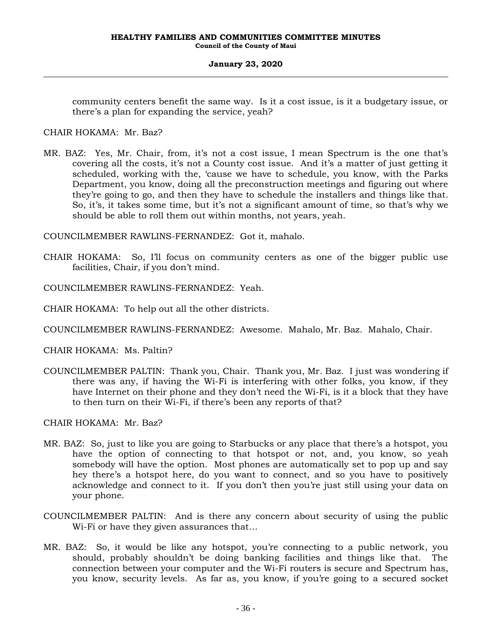community centers benefit the same way. Is it a cost issue, is it a budgetary issue, or there's a plan for expanding the service, yeah?

CHAIR HOKAMA: Mr. Baz?

MR. BAZ: Yes, Mr. Chair, from, it's not a cost issue, I mean Spectrum is the one that's covering all the costs, it's not a County cost issue. And it's a matter of just getting it scheduled, working with the, 'cause we have to schedule, you know, with the Parks Department, you know, doing all the preconstruction meetings and figuring out where they're going to go, and then they have to schedule the installers and things like that. So, it's, it takes some time, but it's not a significant amount of time, so that's why we should be able to roll them out within months, not years, yeah.

COUNCILMEMBER RAWLINS-FERNANDEZ: Got it, mahalo.

CHAIR HOKAMA: So, I'll focus on community centers as one of the bigger public use facilities, Chair, if you don't mind.

COUNCILMEMBER RAWLINS-FERNANDEZ: Yeah.

CHAIR HOKAMA: To help out all the other districts.

COUNCILMEMBER RAWLINS-FERNANDEZ: Awesome. Mahalo, Mr. Baz. Mahalo, Chair.

CHAIR HOKAMA: Ms. Paltin?

COUNCILMEMBER PALTIN: Thank you, Chair. Thank you, Mr. Baz. I just was wondering if there was any, if having the Wi-Fi is interfering with other folks, you know, if they have Internet on their phone and they don't need the Wi-Fi, is it a block that they have to then turn on their Wi-Fi, if there's been any reports of that?

CHAIR HOKAMA: Mr. Baz?

- MR. BAZ: So, just to like you are going to Starbucks or any place that there's a hotspot, you have the option of connecting to that hotspot or not, and, you know, so yeah somebody will have the option. Most phones are automatically set to pop up and say hey there's a hotspot here, do you want to connect, and so you have to positively acknowledge and connect to it. If you don't then you're just still using your data on your phone.
- COUNCILMEMBER PALTIN: And is there any concern about security of using the public Wi-Fi or have they given assurances that…
- MR. BAZ: So, it would be like any hotspot, you're connecting to a public network, you should, probably shouldn't be doing banking facilities and things like that. The connection between your computer and the Wi-Fi routers is secure and Spectrum has, you know, security levels. As far as, you know, if you're going to a secured socket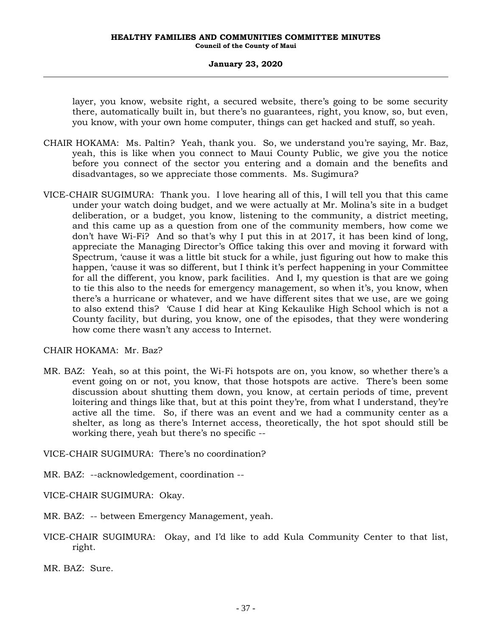layer, you know, website right, a secured website, there's going to be some security there, automatically built in, but there's no guarantees, right, you know, so, but even, you know, with your own home computer, things can get hacked and stuff, so yeah.

- CHAIR HOKAMA: Ms. Paltin? Yeah, thank you. So, we understand you're saying, Mr. Baz, yeah, this is like when you connect to Maui County Public, we give you the notice before you connect of the sector you entering and a domain and the benefits and disadvantages, so we appreciate those comments. Ms. Sugimura?
- VICE-CHAIR SUGIMURA: Thank you. I love hearing all of this, I will tell you that this came under your watch doing budget, and we were actually at Mr. Molina's site in a budget deliberation, or a budget, you know, listening to the community, a district meeting, and this came up as a question from one of the community members, how come we don't have Wi-Fi? And so that's why I put this in at 2017, it has been kind of long, appreciate the Managing Director's Office taking this over and moving it forward with Spectrum, 'cause it was a little bit stuck for a while, just figuring out how to make this happen, 'cause it was so different, but I think it's perfect happening in your Committee for all the different, you know, park facilities. And I, my question is that are we going to tie this also to the needs for emergency management, so when it's, you know, when there's a hurricane or whatever, and we have different sites that we use, are we going to also extend this? 'Cause I did hear at King Kekaulike High School which is not a County facility, but during, you know, one of the episodes, that they were wondering how come there wasn't any access to Internet.

CHAIR HOKAMA: Mr. Baz?

MR. BAZ: Yeah, so at this point, the Wi-Fi hotspots are on, you know, so whether there's a event going on or not, you know, that those hotspots are active. There's been some discussion about shutting them down, you know, at certain periods of time, prevent loitering and things like that, but at this point they're, from what I understand, they're active all the time. So, if there was an event and we had a community center as a shelter, as long as there's Internet access, theoretically, the hot spot should still be working there, yeah but there's no specific --

VICE-CHAIR SUGIMURA: There's no coordination?

MR. BAZ: --acknowledgement, coordination --

VICE-CHAIR SUGIMURA: Okay.

MR. BAZ: -- between Emergency Management, yeah.

VICE-CHAIR SUGIMURA: Okay, and I'd like to add Kula Community Center to that list, right.

MR. BAZ: Sure.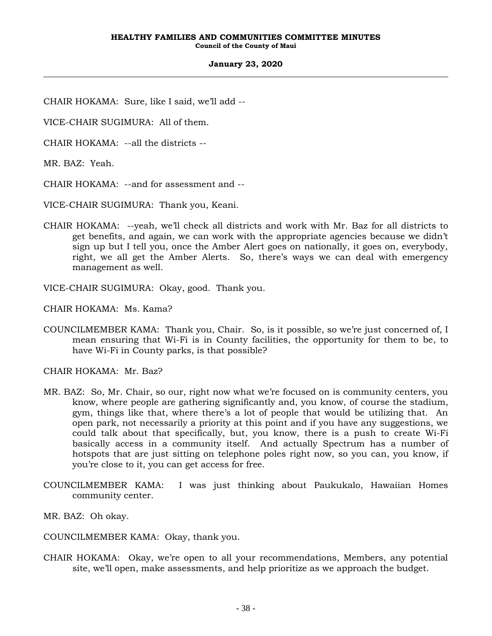CHAIR HOKAMA: Sure, like I said, we'll add --

VICE-CHAIR SUGIMURA: All of them.

CHAIR HOKAMA: --all the districts --

MR. BAZ: Yeah.

CHAIR HOKAMA: --and for assessment and --

VICE-CHAIR SUGIMURA: Thank you, Keani.

CHAIR HOKAMA: --yeah, we'll check all districts and work with Mr. Baz for all districts to get benefits, and again, we can work with the appropriate agencies because we didn't sign up but I tell you, once the Amber Alert goes on nationally, it goes on, everybody, right, we all get the Amber Alerts. So, there's ways we can deal with emergency management as well.

VICE-CHAIR SUGIMURA: Okay, good. Thank you.

CHAIR HOKAMA: Ms. Kama?

COUNCILMEMBER KAMA: Thank you, Chair. So, is it possible, so we're just concerned of, I mean ensuring that Wi-Fi is in County facilities, the opportunity for them to be, to have Wi-Fi in County parks, is that possible?

CHAIR HOKAMA: Mr. Baz?

- MR. BAZ: So, Mr. Chair, so our, right now what we're focused on is community centers, you know, where people are gathering significantly and, you know, of course the stadium, gym, things like that, where there's a lot of people that would be utilizing that. An open park, not necessarily a priority at this point and if you have any suggestions, we could talk about that specifically, but, you know, there is a push to create Wi-Fi basically access in a community itself. And actually Spectrum has a number of hotspots that are just sitting on telephone poles right now, so you can, you know, if you're close to it, you can get access for free.
- COUNCILMEMBER KAMA: I was just thinking about Paukukalo, Hawaiian Homes community center.
- MR. BAZ: Oh okay.

COUNCILMEMBER KAMA: Okay, thank you.

CHAIR HOKAMA: Okay, we're open to all your recommendations, Members, any potential site, we'll open, make assessments, and help prioritize as we approach the budget.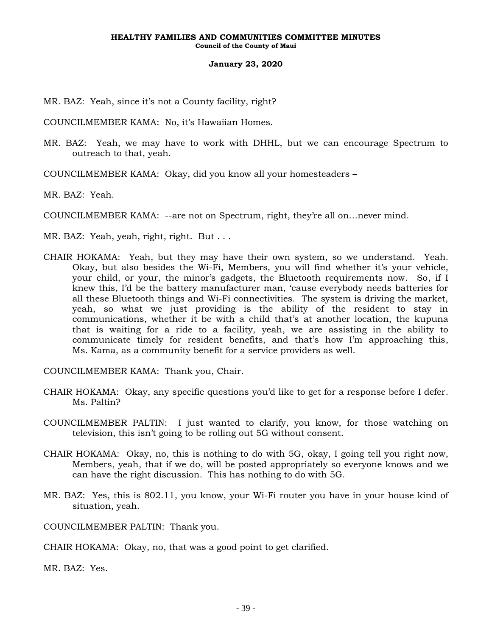MR. BAZ: Yeah, since it's not a County facility, right?

COUNCILMEMBER KAMA: No, it's Hawaiian Homes.

- MR. BAZ: Yeah, we may have to work with DHHL, but we can encourage Spectrum to outreach to that, yeah.
- COUNCILMEMBER KAMA: Okay, did you know all your homesteaders –

MR. BAZ: Yeah.

COUNCILMEMBER KAMA: --are not on Spectrum, right, they're all on…never mind.

- MR. BAZ: Yeah, yeah, right, right. But . . .
- CHAIR HOKAMA: Yeah, but they may have their own system, so we understand. Yeah. Okay, but also besides the Wi-Fi, Members, you will find whether it's your vehicle, your child, or your, the minor's gadgets, the Bluetooth requirements now. So, if I knew this, I'd be the battery manufacturer man, 'cause everybody needs batteries for all these Bluetooth things and Wi-Fi connectivities. The system is driving the market, yeah, so what we just providing is the ability of the resident to stay in communications, whether it be with a child that's at another location, the kupuna that is waiting for a ride to a facility, yeah, we are assisting in the ability to communicate timely for resident benefits, and that's how I'm approaching this, Ms. Kama, as a community benefit for a service providers as well.

COUNCILMEMBER KAMA: Thank you, Chair.

- CHAIR HOKAMA: Okay, any specific questions you'd like to get for a response before I defer. Ms. Paltin?
- COUNCILMEMBER PALTIN: I just wanted to clarify, you know, for those watching on television, this isn't going to be rolling out 5G without consent.
- CHAIR HOKAMA: Okay, no, this is nothing to do with 5G, okay, I going tell you right now, Members, yeah, that if we do, will be posted appropriately so everyone knows and we can have the right discussion. This has nothing to do with 5G.
- MR. BAZ: Yes, this is 802.11, you know, your Wi-Fi router you have in your house kind of situation, yeah.

COUNCILMEMBER PALTIN: Thank you.

CHAIR HOKAMA: Okay, no, that was a good point to get clarified.

MR. BAZ: Yes.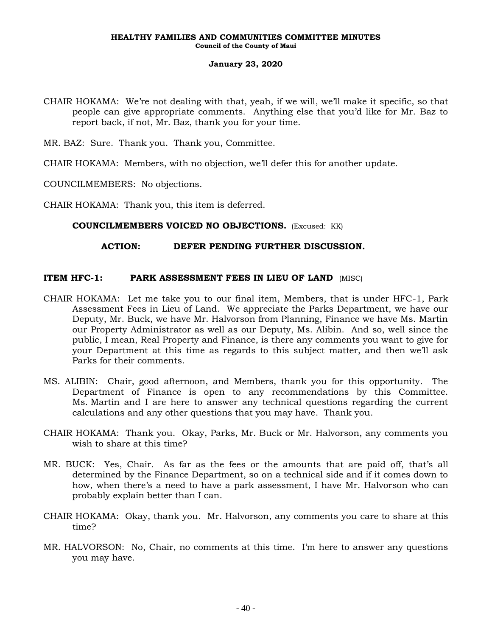- CHAIR HOKAMA: We're not dealing with that, yeah, if we will, we'll make it specific, so that people can give appropriate comments. Anything else that you'd like for Mr. Baz to report back, if not, Mr. Baz, thank you for your time.
- MR. BAZ: Sure. Thank you. Thank you, Committee.

CHAIR HOKAMA: Members, with no objection, we'll defer this for another update.

COUNCILMEMBERS: No objections.

CHAIR HOKAMA: Thank you, this item is deferred.

### **COUNCILMEMBERS VOICED NO OBJECTIONS.** (Excused: KK)

### **ACTION: DEFER PENDING FURTHER DISCUSSION.**

### **ITEM HFC-1: PARK ASSESSMENT FEES IN LIEU OF LAND** (MISC)

- CHAIR HOKAMA: Let me take you to our final item, Members, that is under HFC-1, Park Assessment Fees in Lieu of Land. We appreciate the Parks Department, we have our Deputy, Mr. Buck, we have Mr. Halvorson from Planning, Finance we have Ms. Martin our Property Administrator as well as our Deputy, Ms. Alibin. And so, well since the public, I mean, Real Property and Finance, is there any comments you want to give for your Department at this time as regards to this subject matter, and then we'll ask Parks for their comments.
- MS. ALIBIN: Chair, good afternoon, and Members, thank you for this opportunity. The Department of Finance is open to any recommendations by this Committee. Ms. Martin and I are here to answer any technical questions regarding the current calculations and any other questions that you may have. Thank you.
- CHAIR HOKAMA: Thank you. Okay, Parks, Mr. Buck or Mr. Halvorson, any comments you wish to share at this time?
- MR. BUCK: Yes, Chair. As far as the fees or the amounts that are paid off, that's all determined by the Finance Department, so on a technical side and if it comes down to how, when there's a need to have a park assessment, I have Mr. Halvorson who can probably explain better than I can.
- CHAIR HOKAMA: Okay, thank you. Mr. Halvorson, any comments you care to share at this time?
- MR. HALVORSON: No, Chair, no comments at this time. I'm here to answer any questions you may have.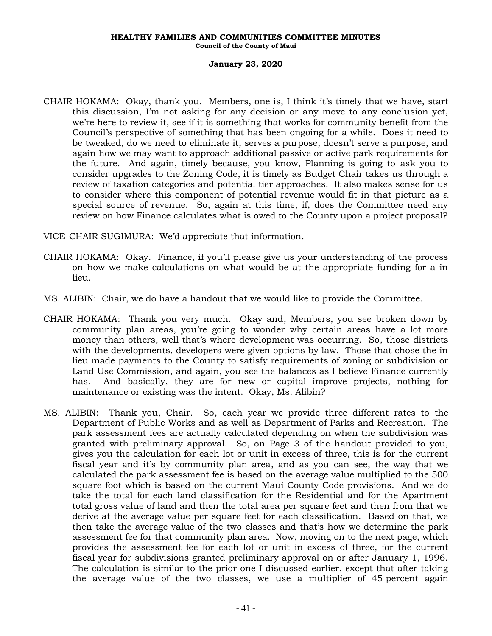### **January 23, 2020**

CHAIR HOKAMA: Okay, thank you. Members, one is, I think it's timely that we have, start this discussion, I'm not asking for any decision or any move to any conclusion yet, we're here to review it, see if it is something that works for community benefit from the Council's perspective of something that has been ongoing for a while. Does it need to be tweaked, do we need to eliminate it, serves a purpose, doesn't serve a purpose, and again how we may want to approach additional passive or active park requirements for the future. And again, timely because, you know, Planning is going to ask you to consider upgrades to the Zoning Code, it is timely as Budget Chair takes us through a review of taxation categories and potential tier approaches. It also makes sense for us to consider where this component of potential revenue would fit in that picture as a special source of revenue. So, again at this time, if, does the Committee need any review on how Finance calculates what is owed to the County upon a project proposal?

VICE-CHAIR SUGIMURA: We'd appreciate that information.

- CHAIR HOKAMA: Okay. Finance, if you'll please give us your understanding of the process on how we make calculations on what would be at the appropriate funding for a in lieu.
- MS. ALIBIN: Chair, we do have a handout that we would like to provide the Committee.
- CHAIR HOKAMA: Thank you very much. Okay and, Members, you see broken down by community plan areas, you're going to wonder why certain areas have a lot more money than others, well that's where development was occurring. So, those districts with the developments, developers were given options by law. Those that chose the in lieu made payments to the County to satisfy requirements of zoning or subdivision or Land Use Commission, and again, you see the balances as I believe Finance currently has. And basically, they are for new or capital improve projects, nothing for maintenance or existing was the intent. Okay, Ms. Alibin?
- MS. ALIBIN: Thank you, Chair. So, each year we provide three different rates to the Department of Public Works and as well as Department of Parks and Recreation. The park assessment fees are actually calculated depending on when the subdivision was granted with preliminary approval. So, on Page 3 of the handout provided to you, gives you the calculation for each lot or unit in excess of three, this is for the current fiscal year and it's by community plan area, and as you can see, the way that we calculated the park assessment fee is based on the average value multiplied to the 500 square foot which is based on the current Maui County Code provisions. And we do take the total for each land classification for the Residential and for the Apartment total gross value of land and then the total area per square feet and then from that we derive at the average value per square feet for each classification. Based on that, we then take the average value of the two classes and that's how we determine the park assessment fee for that community plan area. Now, moving on to the next page, which provides the assessment fee for each lot or unit in excess of three, for the current fiscal year for subdivisions granted preliminary approval on or after January 1, 1996. The calculation is similar to the prior one I discussed earlier, except that after taking the average value of the two classes, we use a multiplier of 45 percent again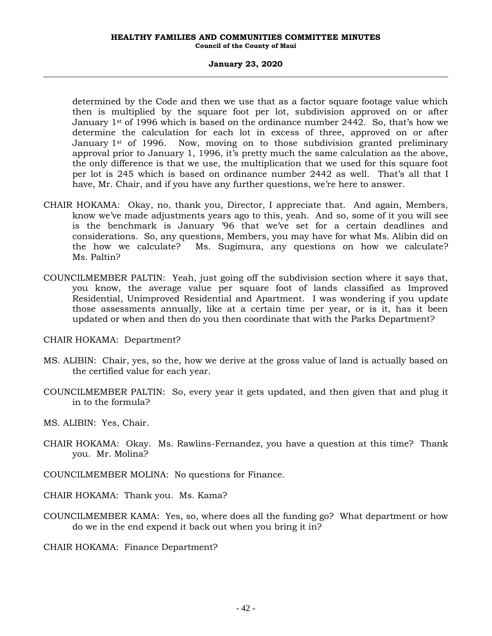#### **January 23, 2020**

determined by the Code and then we use that as a factor square footage value which then is multiplied by the square foot per lot, subdivision approved on or after January  $1<sup>st</sup>$  of 1996 which is based on the ordinance number 2442. So, that's how we determine the calculation for each lot in excess of three, approved on or after January 1<sup>st</sup> of 1996. Now, moving on to those subdivision granted preliminary approval prior to January 1, 1996, it's pretty much the same calculation as the above, the only difference is that we use, the multiplication that we used for this square foot per lot is 245 which is based on ordinance number 2442 as well. That's all that I have, Mr. Chair, and if you have any further questions, we're here to answer.

- CHAIR HOKAMA: Okay, no, thank you, Director, I appreciate that. And again, Members, know we've made adjustments years ago to this, yeah. And so, some of it you will see is the benchmark is January '96 that we've set for a certain deadlines and considerations. So, any questions, Members, you may have for what Ms. Alibin did on the how we calculate? Ms. Sugimura, any questions on how we calculate? Ms. Paltin?
- COUNCILMEMBER PALTIN: Yeah, just going off the subdivision section where it says that, you know, the average value per square foot of lands classified as Improved Residential, Unimproved Residential and Apartment. I was wondering if you update those assessments annually, like at a certain time per year, or is it, has it been updated or when and then do you then coordinate that with the Parks Department?
- CHAIR HOKAMA: Department?
- MS. ALIBIN: Chair, yes, so the, how we derive at the gross value of land is actually based on the certified value for each year.
- COUNCILMEMBER PALTIN: So, every year it gets updated, and then given that and plug it in to the formula?
- MS. ALIBIN: Yes, Chair.
- CHAIR HOKAMA: Okay. Ms. Rawlins-Fernandez, you have a question at this time? Thank you. Mr. Molina?
- COUNCILMEMBER MOLINA: No questions for Finance.
- CHAIR HOKAMA: Thank you. Ms. Kama?
- COUNCILMEMBER KAMA: Yes, so, where does all the funding go? What department or how do we in the end expend it back out when you bring it in?

CHAIR HOKAMA: Finance Department?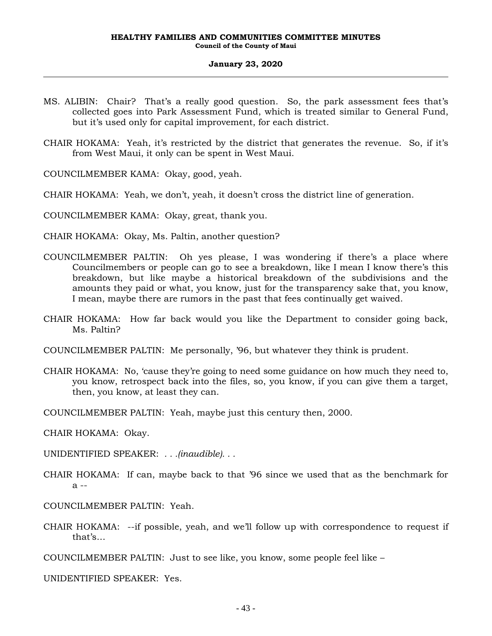- MS. ALIBIN: Chair? That's a really good question. So, the park assessment fees that's collected goes into Park Assessment Fund, which is treated similar to General Fund, but it's used only for capital improvement, for each district.
- CHAIR HOKAMA: Yeah, it's restricted by the district that generates the revenue. So, if it's from West Maui, it only can be spent in West Maui.
- COUNCILMEMBER KAMA: Okay, good, yeah.
- CHAIR HOKAMA: Yeah, we don't, yeah, it doesn't cross the district line of generation.
- COUNCILMEMBER KAMA: Okay, great, thank you.
- CHAIR HOKAMA: Okay, Ms. Paltin, another question?
- COUNCILMEMBER PALTIN: Oh yes please, I was wondering if there's a place where Councilmembers or people can go to see a breakdown, like I mean I know there's this breakdown, but like maybe a historical breakdown of the subdivisions and the amounts they paid or what, you know, just for the transparency sake that, you know, I mean, maybe there are rumors in the past that fees continually get waived.
- CHAIR HOKAMA: How far back would you like the Department to consider going back, Ms. Paltin?
- COUNCILMEMBER PALTIN: Me personally, '96, but whatever they think is prudent.
- CHAIR HOKAMA: No, 'cause they're going to need some guidance on how much they need to, you know, retrospect back into the files, so, you know, if you can give them a target, then, you know, at least they can.
- COUNCILMEMBER PALTIN: Yeah, maybe just this century then, 2000.
- CHAIR HOKAMA: Okay.
- UNIDENTIFIED SPEAKER: *. . .(inaudible). . .*
- CHAIR HOKAMA: If can, maybe back to that '96 since we used that as the benchmark for a --
- COUNCILMEMBER PALTIN: Yeah.
- CHAIR HOKAMA: --if possible, yeah, and we'll follow up with correspondence to request if that's…
- COUNCILMEMBER PALTIN: Just to see like, you know, some people feel like –

UNIDENTIFIED SPEAKER: Yes.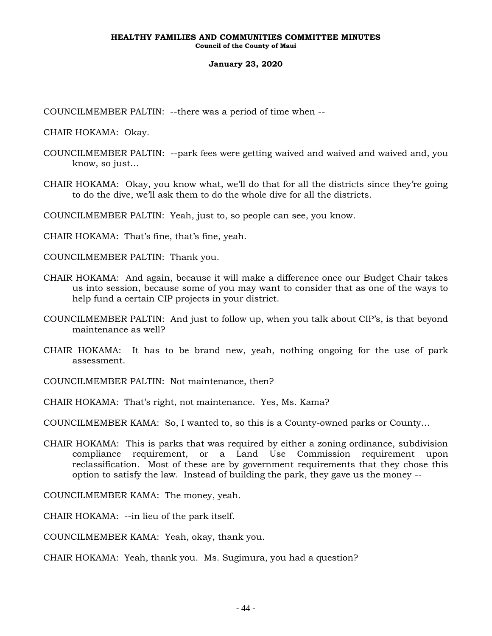COUNCILMEMBER PALTIN: --there was a period of time when --

CHAIR HOKAMA: Okay.

- COUNCILMEMBER PALTIN: --park fees were getting waived and waived and waived and, you know, so just…
- CHAIR HOKAMA: Okay, you know what, we'll do that for all the districts since they're going to do the dive, we'll ask them to do the whole dive for all the districts.

COUNCILMEMBER PALTIN: Yeah, just to, so people can see, you know.

CHAIR HOKAMA: That's fine, that's fine, yeah.

COUNCILMEMBER PALTIN: Thank you.

- CHAIR HOKAMA: And again, because it will make a difference once our Budget Chair takes us into session, because some of you may want to consider that as one of the ways to help fund a certain CIP projects in your district.
- COUNCILMEMBER PALTIN: And just to follow up, when you talk about CIP's, is that beyond maintenance as well?
- CHAIR HOKAMA: It has to be brand new, yeah, nothing ongoing for the use of park assessment.
- COUNCILMEMBER PALTIN: Not maintenance, then?
- CHAIR HOKAMA: That's right, not maintenance. Yes, Ms. Kama?

COUNCILMEMBER KAMA: So, I wanted to, so this is a County-owned parks or County…

CHAIR HOKAMA: This is parks that was required by either a zoning ordinance, subdivision compliance requirement, or a Land Use Commission requirement upon reclassification. Most of these are by government requirements that they chose this option to satisfy the law. Instead of building the park, they gave us the money --

COUNCILMEMBER KAMA: The money, yeah.

CHAIR HOKAMA: --in lieu of the park itself.

COUNCILMEMBER KAMA: Yeah, okay, thank you.

CHAIR HOKAMA: Yeah, thank you. Ms. Sugimura, you had a question?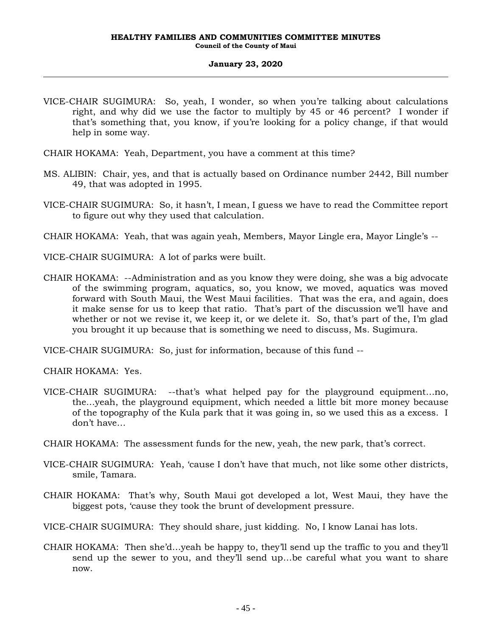- VICE-CHAIR SUGIMURA: So, yeah, I wonder, so when you're talking about calculations right, and why did we use the factor to multiply by 45 or 46 percent? I wonder if that's something that, you know, if you're looking for a policy change, if that would help in some way.
- CHAIR HOKAMA: Yeah, Department, you have a comment at this time?
- MS. ALIBIN: Chair, yes, and that is actually based on Ordinance number 2442, Bill number 49, that was adopted in 1995.
- VICE-CHAIR SUGIMURA: So, it hasn't, I mean, I guess we have to read the Committee report to figure out why they used that calculation.
- CHAIR HOKAMA: Yeah, that was again yeah, Members, Mayor Lingle era, Mayor Lingle's --
- VICE-CHAIR SUGIMURA: A lot of parks were built.
- CHAIR HOKAMA: --Administration and as you know they were doing, she was a big advocate of the swimming program, aquatics, so, you know, we moved, aquatics was moved forward with South Maui, the West Maui facilities. That was the era, and again, does it make sense for us to keep that ratio. That's part of the discussion we'll have and whether or not we revise it, we keep it, or we delete it. So, that's part of the, I'm glad you brought it up because that is something we need to discuss, Ms. Sugimura.

VICE-CHAIR SUGIMURA: So, just for information, because of this fund --

CHAIR HOKAMA: Yes.

- VICE-CHAIR SUGIMURA: --that's what helped pay for the playground equipment…no, the…yeah, the playground equipment, which needed a little bit more money because of the topography of the Kula park that it was going in, so we used this as a excess. I don't have…
- CHAIR HOKAMA: The assessment funds for the new, yeah, the new park, that's correct.
- VICE-CHAIR SUGIMURA: Yeah, 'cause I don't have that much, not like some other districts, smile, Tamara.
- CHAIR HOKAMA: That's why, South Maui got developed a lot, West Maui, they have the biggest pots, 'cause they took the brunt of development pressure.
- VICE-CHAIR SUGIMURA: They should share, just kidding. No, I know Lanai has lots.
- CHAIR HOKAMA: Then she'd…yeah be happy to, they'll send up the traffic to you and they'll send up the sewer to you, and they'll send up…be careful what you want to share now.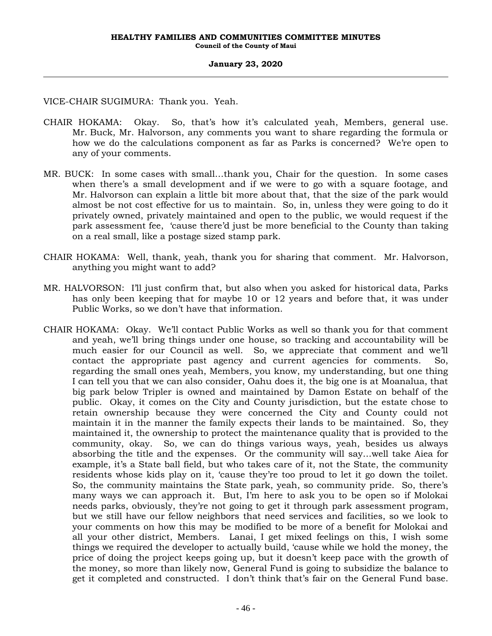VICE-CHAIR SUGIMURA: Thank you. Yeah.

- CHAIR HOKAMA: Okay. So, that's how it's calculated yeah, Members, general use. Mr. Buck, Mr. Halvorson, any comments you want to share regarding the formula or how we do the calculations component as far as Parks is concerned? We're open to any of your comments.
- MR. BUCK: In some cases with small…thank you, Chair for the question. In some cases when there's a small development and if we were to go with a square footage, and Mr. Halvorson can explain a little bit more about that, that the size of the park would almost be not cost effective for us to maintain. So, in, unless they were going to do it privately owned, privately maintained and open to the public, we would request if the park assessment fee, 'cause there'd just be more beneficial to the County than taking on a real small, like a postage sized stamp park.
- CHAIR HOKAMA: Well, thank, yeah, thank you for sharing that comment. Mr. Halvorson, anything you might want to add?
- MR. HALVORSON: I'll just confirm that, but also when you asked for historical data, Parks has only been keeping that for maybe 10 or 12 years and before that, it was under Public Works, so we don't have that information.
- CHAIR HOKAMA: Okay. We'll contact Public Works as well so thank you for that comment and yeah, we'll bring things under one house, so tracking and accountability will be much easier for our Council as well. So, we appreciate that comment and we'll contact the appropriate past agency and current agencies for comments. So, regarding the small ones yeah, Members, you know, my understanding, but one thing I can tell you that we can also consider, Oahu does it, the big one is at Moanalua, that big park below Tripler is owned and maintained by Damon Estate on behalf of the public. Okay, it comes on the City and County jurisdiction, but the estate chose to retain ownership because they were concerned the City and County could not maintain it in the manner the family expects their lands to be maintained. So, they maintained it, the ownership to protect the maintenance quality that is provided to the community, okay. So, we can do things various ways, yeah, besides us always absorbing the title and the expenses. Or the community will say…well take Aiea for example, it's a State ball field, but who takes care of it, not the State, the community residents whose kids play on it, 'cause they're too proud to let it go down the toilet. So, the community maintains the State park, yeah, so community pride. So, there's many ways we can approach it. But, I'm here to ask you to be open so if Molokai needs parks, obviously, they're not going to get it through park assessment program, but we still have our fellow neighbors that need services and facilities, so we look to your comments on how this may be modified to be more of a benefit for Molokai and all your other district, Members. Lanai, I get mixed feelings on this, I wish some things we required the developer to actually build, 'cause while we hold the money, the price of doing the project keeps going up, but it doesn't keep pace with the growth of the money, so more than likely now, General Fund is going to subsidize the balance to get it completed and constructed. I don't think that's fair on the General Fund base.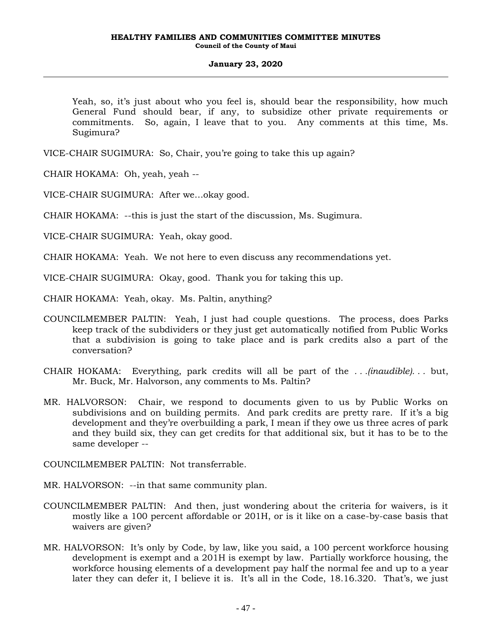Yeah, so, it's just about who you feel is, should bear the responsibility, how much General Fund should bear, if any, to subsidize other private requirements or commitments. So, again, I leave that to you. Any comments at this time, Ms. Sugimura?

VICE-CHAIR SUGIMURA: So, Chair, you're going to take this up again?

CHAIR HOKAMA: Oh, yeah, yeah --

VICE-CHAIR SUGIMURA: After we…okay good.

CHAIR HOKAMA: --this is just the start of the discussion, Ms. Sugimura.

VICE-CHAIR SUGIMURA: Yeah, okay good.

CHAIR HOKAMA: Yeah. We not here to even discuss any recommendations yet.

VICE-CHAIR SUGIMURA: Okay, good. Thank you for taking this up.

CHAIR HOKAMA: Yeah, okay. Ms. Paltin, anything?

- COUNCILMEMBER PALTIN: Yeah, I just had couple questions. The process, does Parks keep track of the subdividers or they just get automatically notified from Public Works that a subdivision is going to take place and is park credits also a part of the conversation?
- CHAIR HOKAMA: Everything, park credits will all be part of the *. . .(inaudible). . .* but, Mr. Buck, Mr. Halvorson, any comments to Ms. Paltin?
- MR. HALVORSON: Chair, we respond to documents given to us by Public Works on subdivisions and on building permits. And park credits are pretty rare. If it's a big development and they're overbuilding a park, I mean if they owe us three acres of park and they build six, they can get credits for that additional six, but it has to be to the same developer --

COUNCILMEMBER PALTIN: Not transferrable.

- MR. HALVORSON: --in that same community plan.
- COUNCILMEMBER PALTIN: And then, just wondering about the criteria for waivers, is it mostly like a 100 percent affordable or 201H, or is it like on a case-by-case basis that waivers are given?
- MR. HALVORSON: It's only by Code, by law, like you said, a 100 percent workforce housing development is exempt and a 201H is exempt by law. Partially workforce housing, the workforce housing elements of a development pay half the normal fee and up to a year later they can defer it, I believe it is. It's all in the Code, 18.16.320. That's, we just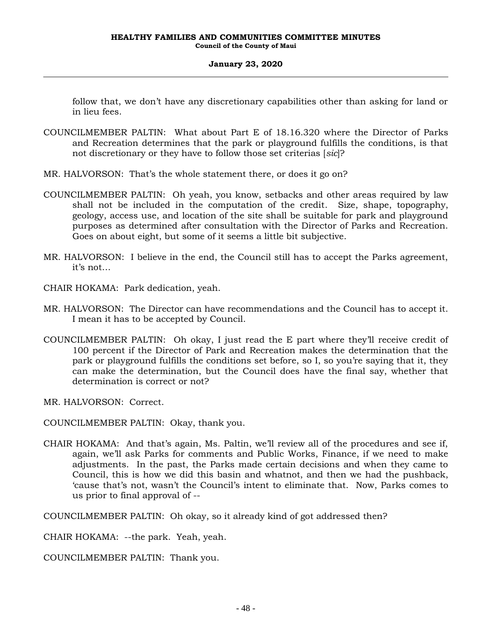follow that, we don't have any discretionary capabilities other than asking for land or in lieu fees.

- COUNCILMEMBER PALTIN: What about Part E of 18.16.320 where the Director of Parks and Recreation determines that the park or playground fulfills the conditions, is that not discretionary or they have to follow those set criterias [*sic*]?
- MR. HALVORSON: That's the whole statement there, or does it go on?
- COUNCILMEMBER PALTIN: Oh yeah, you know, setbacks and other areas required by law shall not be included in the computation of the credit. Size, shape, topography, geology, access use, and location of the site shall be suitable for park and playground purposes as determined after consultation with the Director of Parks and Recreation. Goes on about eight, but some of it seems a little bit subjective.
- MR. HALVORSON: I believe in the end, the Council still has to accept the Parks agreement, it's not…
- CHAIR HOKAMA: Park dedication, yeah.
- MR. HALVORSON: The Director can have recommendations and the Council has to accept it. I mean it has to be accepted by Council.
- COUNCILMEMBER PALTIN: Oh okay, I just read the E part where they'll receive credit of 100 percent if the Director of Park and Recreation makes the determination that the park or playground fulfills the conditions set before, so I, so you're saying that it, they can make the determination, but the Council does have the final say, whether that determination is correct or not?
- MR. HALVORSON: Correct.

COUNCILMEMBER PALTIN: Okay, thank you.

CHAIR HOKAMA: And that's again, Ms. Paltin, we'll review all of the procedures and see if, again, we'll ask Parks for comments and Public Works, Finance, if we need to make adjustments. In the past, the Parks made certain decisions and when they came to Council, this is how we did this basin and whatnot, and then we had the pushback, 'cause that's not, wasn't the Council's intent to eliminate that. Now, Parks comes to us prior to final approval of --

COUNCILMEMBER PALTIN: Oh okay, so it already kind of got addressed then?

CHAIR HOKAMA: --the park. Yeah, yeah.

COUNCILMEMBER PALTIN: Thank you.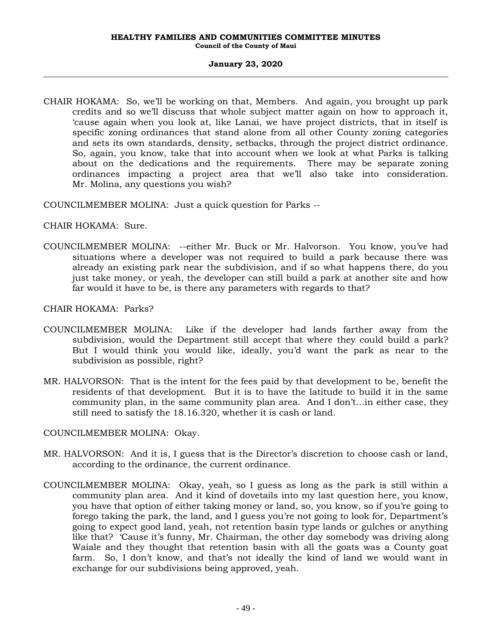CHAIR HOKAMA: So, we'll be working on that, Members. And again, you brought up park credits and so we'll discuss that whole subject matter again on how to approach it, 'cause again when you look at, like Lanai, we have project districts, that in itself is specific zoning ordinances that stand alone from all other County zoning categories and sets its own standards, density, setbacks, through the project district ordinance. So, again, you know, take that into account when we look at what Parks is talking about on the dedications and the requirements. There may be separate zoning ordinances impacting a project area that we'll also take into consideration. Mr. Molina, any questions you wish?

COUNCILMEMBER MOLINA: Just a quick question for Parks --

CHAIR HOKAMA: Sure.

COUNCILMEMBER MOLINA: --either Mr. Buck or Mr. Halvorson. You know, you've had situations where a developer was not required to build a park because there was already an existing park near the subdivision, and if so what happens there, do you just take money, or yeah, the developer can still build a park at another site and how far would it have to be, is there any parameters with regards to that?

CHAIR HOKAMA: Parks?

- COUNCILMEMBER MOLINA: Like if the developer had lands farther away from the subdivision, would the Department still accept that where they could build a park? But I would think you would like, ideally, you'd want the park as near to the subdivision as possible, right?
- MR. HALVORSON: That is the intent for the fees paid by that development to be, benefit the residents of that development. But it is to have the latitude to build it in the same community plan, in the same community plan area. And I don't…in either case, they still need to satisfy the 18.16.320, whether it is cash or land.

## COUNCILMEMBER MOLINA: Okay.

- MR. HALVORSON: And it is, I guess that is the Director's discretion to choose cash or land, according to the ordinance, the current ordinance.
- COUNCILMEMBER MOLINA: Okay, yeah, so I guess as long as the park is still within a community plan area. And it kind of dovetails into my last question here, you know, you have that option of either taking money or land, so, you know, so if you're going to forego taking the park, the land, and I guess you're not going to look for, Department's going to expect good land, yeah, not retention basin type lands or gulches or anything like that? 'Cause it's funny, Mr. Chairman, the other day somebody was driving along Waiale and they thought that retention basin with all the goats was a County goat farm. So, I don't know, and that's not ideally the kind of land we would want in exchange for our subdivisions being approved, yeah.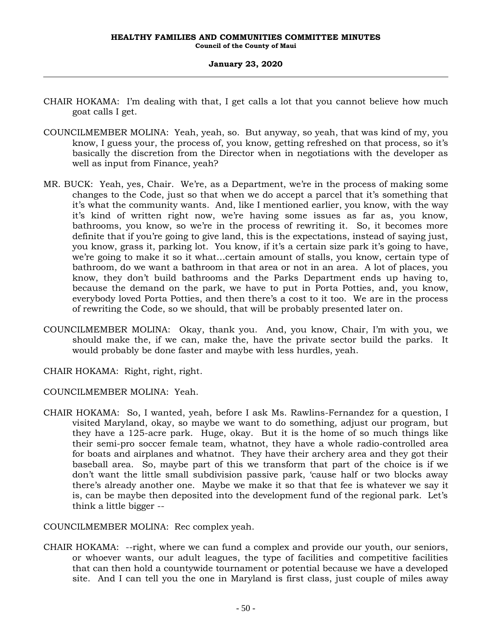- CHAIR HOKAMA: I'm dealing with that, I get calls a lot that you cannot believe how much goat calls I get.
- COUNCILMEMBER MOLINA: Yeah, yeah, so. But anyway, so yeah, that was kind of my, you know, I guess your, the process of, you know, getting refreshed on that process, so it's basically the discretion from the Director when in negotiations with the developer as well as input from Finance, yeah?
- MR. BUCK: Yeah, yes, Chair. We're, as a Department, we're in the process of making some changes to the Code, just so that when we do accept a parcel that it's something that it's what the community wants. And, like I mentioned earlier, you know, with the way it's kind of written right now, we're having some issues as far as, you know, bathrooms, you know, so we're in the process of rewriting it. So, it becomes more definite that if you're going to give land, this is the expectations, instead of saying just, you know, grass it, parking lot. You know, if it's a certain size park it's going to have, we're going to make it so it what…certain amount of stalls, you know, certain type of bathroom, do we want a bathroom in that area or not in an area. A lot of places, you know, they don't build bathrooms and the Parks Department ends up having to, because the demand on the park, we have to put in Porta Potties, and, you know, everybody loved Porta Potties, and then there's a cost to it too. We are in the process of rewriting the Code, so we should, that will be probably presented later on.
- COUNCILMEMBER MOLINA: Okay, thank you. And, you know, Chair, I'm with you, we should make the, if we can, make the, have the private sector build the parks. It would probably be done faster and maybe with less hurdles, yeah.
- CHAIR HOKAMA: Right, right, right.
- COUNCILMEMBER MOLINA: Yeah.
- CHAIR HOKAMA: So, I wanted, yeah, before I ask Ms. Rawlins-Fernandez for a question, I visited Maryland, okay, so maybe we want to do something, adjust our program, but they have a 125-acre park. Huge, okay. But it is the home of so much things like their semi-pro soccer female team, whatnot, they have a whole radio-controlled area for boats and airplanes and whatnot. They have their archery area and they got their baseball area. So, maybe part of this we transform that part of the choice is if we don't want the little small subdivision passive park, 'cause half or two blocks away there's already another one. Maybe we make it so that that fee is whatever we say it is, can be maybe then deposited into the development fund of the regional park. Let's think a little bigger --

COUNCILMEMBER MOLINA: Rec complex yeah.

CHAIR HOKAMA: --right, where we can fund a complex and provide our youth, our seniors, or whoever wants, our adult leagues, the type of facilities and competitive facilities that can then hold a countywide tournament or potential because we have a developed site. And I can tell you the one in Maryland is first class, just couple of miles away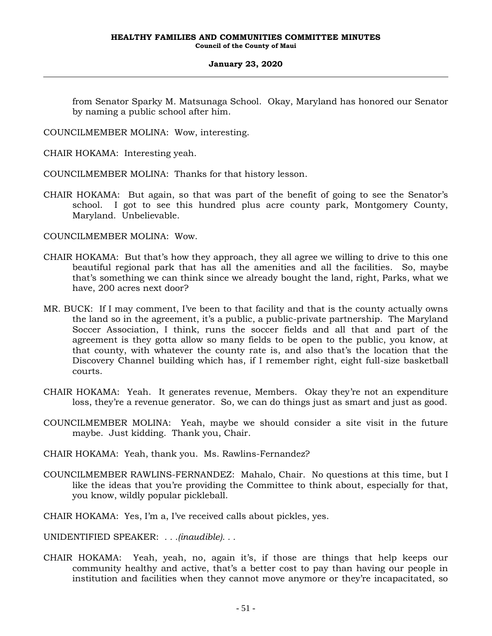from Senator Sparky M. Matsunaga School. Okay, Maryland has honored our Senator by naming a public school after him.

COUNCILMEMBER MOLINA: Wow, interesting.

CHAIR HOKAMA: Interesting yeah.

COUNCILMEMBER MOLINA: Thanks for that history lesson.

CHAIR HOKAMA: But again, so that was part of the benefit of going to see the Senator's school. I got to see this hundred plus acre county park, Montgomery County, Maryland. Unbelievable.

COUNCILMEMBER MOLINA: Wow.

- CHAIR HOKAMA: But that's how they approach, they all agree we willing to drive to this one beautiful regional park that has all the amenities and all the facilities. So, maybe that's something we can think since we already bought the land, right, Parks, what we have, 200 acres next door?
- MR. BUCK: If I may comment, I've been to that facility and that is the county actually owns the land so in the agreement, it's a public, a public-private partnership. The Maryland Soccer Association, I think, runs the soccer fields and all that and part of the agreement is they gotta allow so many fields to be open to the public, you know, at that county, with whatever the county rate is, and also that's the location that the Discovery Channel building which has, if I remember right, eight full-size basketball courts.
- CHAIR HOKAMA: Yeah. It generates revenue, Members. Okay they're not an expenditure loss, they're a revenue generator. So, we can do things just as smart and just as good.
- COUNCILMEMBER MOLINA: Yeah, maybe we should consider a site visit in the future maybe. Just kidding. Thank you, Chair.
- CHAIR HOKAMA: Yeah, thank you. Ms. Rawlins-Fernandez?
- COUNCILMEMBER RAWLINS-FERNANDEZ: Mahalo, Chair. No questions at this time, but I like the ideas that you're providing the Committee to think about, especially for that, you know, wildly popular pickleball.
- CHAIR HOKAMA: Yes, I'm a, I've received calls about pickles, yes.

UNIDENTIFIED SPEAKER: *. . .(inaudible). . .*

CHAIR HOKAMA: Yeah, yeah, no, again it's, if those are things that help keeps our community healthy and active, that's a better cost to pay than having our people in institution and facilities when they cannot move anymore or they're incapacitated, so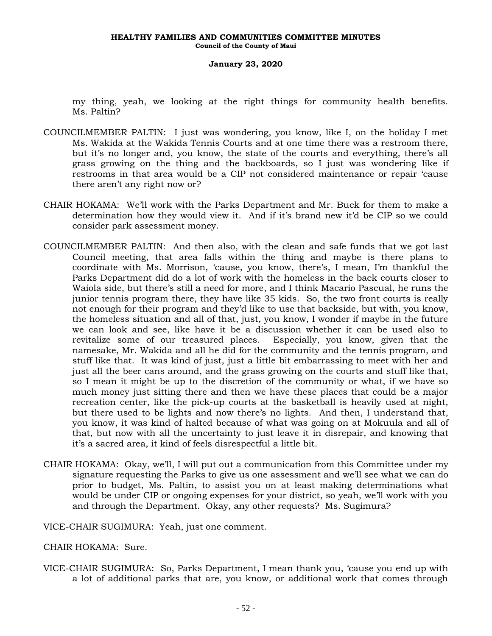my thing, yeah, we looking at the right things for community health benefits. Ms. Paltin?

- COUNCILMEMBER PALTIN: I just was wondering, you know, like I, on the holiday I met Ms. Wakida at the Wakida Tennis Courts and at one time there was a restroom there, but it's no longer and, you know, the state of the courts and everything, there's all grass growing on the thing and the backboards, so I just was wondering like if restrooms in that area would be a CIP not considered maintenance or repair 'cause there aren't any right now or?
- CHAIR HOKAMA: We'll work with the Parks Department and Mr. Buck for them to make a determination how they would view it. And if it's brand new it'd be CIP so we could consider park assessment money.
- COUNCILMEMBER PALTIN: And then also, with the clean and safe funds that we got last Council meeting, that area falls within the thing and maybe is there plans to coordinate with Ms. Morrison, 'cause, you know, there's, I mean, I'm thankful the Parks Department did do a lot of work with the homeless in the back courts closer to Waiola side, but there's still a need for more, and I think Macario Pascual, he runs the junior tennis program there, they have like 35 kids. So, the two front courts is really not enough for their program and they'd like to use that backside, but with, you know, the homeless situation and all of that, just, you know, I wonder if maybe in the future we can look and see, like have it be a discussion whether it can be used also to revitalize some of our treasured places. Especially, you know, given that the namesake, Mr. Wakida and all he did for the community and the tennis program, and stuff like that. It was kind of just, just a little bit embarrassing to meet with her and just all the beer cans around, and the grass growing on the courts and stuff like that, so I mean it might be up to the discretion of the community or what, if we have so much money just sitting there and then we have these places that could be a major recreation center, like the pick-up courts at the basketball is heavily used at night, but there used to be lights and now there's no lights. And then, I understand that, you know, it was kind of halted because of what was going on at Mokuula and all of that, but now with all the uncertainty to just leave it in disrepair, and knowing that it's a sacred area, it kind of feels disrespectful a little bit.
- CHAIR HOKAMA: Okay, we'll, I will put out a communication from this Committee under my signature requesting the Parks to give us one assessment and we'll see what we can do prior to budget, Ms. Paltin, to assist you on at least making determinations what would be under CIP or ongoing expenses for your district, so yeah, we'll work with you and through the Department. Okay, any other requests? Ms. Sugimura?
- VICE-CHAIR SUGIMURA: Yeah, just one comment.

## CHAIR HOKAMA: Sure.

VICE-CHAIR SUGIMURA: So, Parks Department, I mean thank you, 'cause you end up with a lot of additional parks that are, you know, or additional work that comes through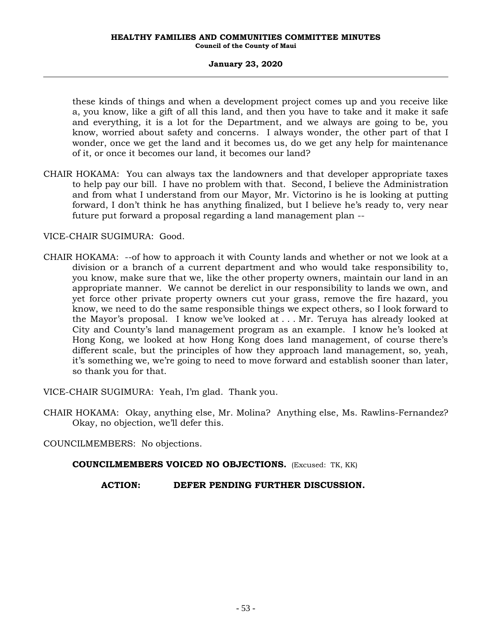these kinds of things and when a development project comes up and you receive like a, you know, like a gift of all this land, and then you have to take and it make it safe and everything, it is a lot for the Department, and we always are going to be, you know, worried about safety and concerns. I always wonder, the other part of that I wonder, once we get the land and it becomes us, do we get any help for maintenance of it, or once it becomes our land, it becomes our land?

CHAIR HOKAMA: You can always tax the landowners and that developer appropriate taxes to help pay our bill. I have no problem with that. Second, I believe the Administration and from what I understand from our Mayor, Mr. Victorino is he is looking at putting forward, I don't think he has anything finalized, but I believe he's ready to, very near future put forward a proposal regarding a land management plan --

VICE-CHAIR SUGIMURA: Good.

CHAIR HOKAMA: --of how to approach it with County lands and whether or not we look at a division or a branch of a current department and who would take responsibility to, you know, make sure that we, like the other property owners, maintain our land in an appropriate manner. We cannot be derelict in our responsibility to lands we own, and yet force other private property owners cut your grass, remove the fire hazard, you know, we need to do the same responsible things we expect others, so I look forward to the Mayor's proposal. I know we've looked at . . . Mr. Teruya has already looked at City and County's land management program as an example. I know he's looked at Hong Kong, we looked at how Hong Kong does land management, of course there's different scale, but the principles of how they approach land management, so, yeah, it's something we, we're going to need to move forward and establish sooner than later, so thank you for that.

VICE-CHAIR SUGIMURA: Yeah, I'm glad. Thank you.

CHAIR HOKAMA: Okay, anything else, Mr. Molina? Anything else, Ms. Rawlins-Fernandez? Okay, no objection, we'll defer this.

COUNCILMEMBERS: No objections.

**COUNCILMEMBERS VOICED NO OBJECTIONS.** (Excused: TK, KK)

**ACTION: DEFER PENDING FURTHER DISCUSSION.**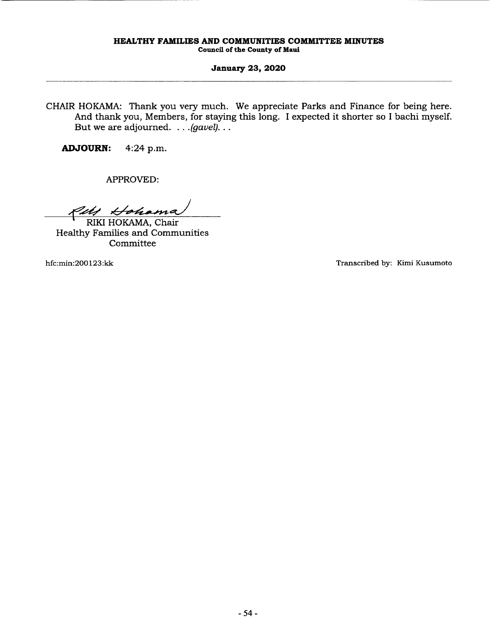### **January 23, 2020**

CHAIR HOKAMA: Thank you very much. We appreciate Parks and Finance for being here. And thank you, Members, for staying this long. I expected it shorter so I bachi myself. But we are adjourned. . . *. (gavel).* . .

**ADJOURN:** 4:24 p.m.

APPROVED:

Put Hohama

Healthy Families and Communities Committee

hfc:min:200 123:kk Transcribed by: Kimi Kusumoto